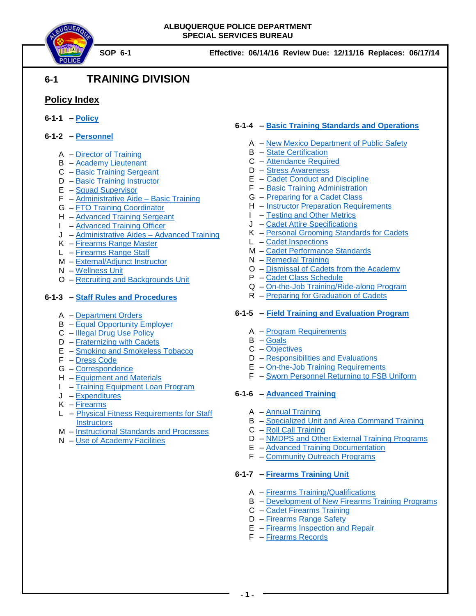



# **6-1 TRAINING DIVISION**

# **Policy Index**

- **6-1-1 – [Policy](#page-1-0)**
- **6-1-2 – [Personnel](#page-2-0)**
	- A [Director of Training](#page-2-1)
	- $B A$ cademy Lieutenant
	- C [Basic Training Sergeant](#page-4-0)
	- D [Basic Training Instructor](#page-6-0)
	-
	- F [Administrative Aide –](#page-7-0) Basic Training
	- G [FTO Training Coordinator](#page-8-0)
	- H [Advanced Training Sergeant](#page-9-0)
	- I [Advanced Training Officer](#page-10-0)
	- J [Administrative Aides –](#page-11-0) Advanced Training
	- K [Firearms Range Master](#page-11-1)
	- L [Firearms Range Staff](#page-13-0)
	- M [External/Adjunct Instructor](#page-13-1)
	- N [Wellness Unit](#page-15-0)
	- O [Recruiting and Backgrounds Unit](#page-17-0)

# **6-1-3 – [Staff Rules and Procedures](#page-18-0)**

- A [Department Orders](#page-18-1)
- B [Equal Opportunity Employer](#page-18-2)
- C [Illegal Drug Use Policy](#page-18-3)
- D [Fraternizing with Cadets](#page-18-4)
- E [Smoking and Smokeless Tobacco](#page-18-5)
- F [Dress Code](#page-19-0)
- G [Correspondence](#page-20-0)
- H [Equipment and Materials](#page-20-1)
- I [Training Equipment Loan Program](#page-20-2)
- J [Expenditures](#page-21-0)
- K [Firearms](#page-21-1)
- L [Physical Fitness Requirements for Staff](#page-21-2)  **[Instructors](#page-21-2)**
- M [Instructional Standards](#page-22-0) and Processes
- N [Use of Academy Facilities](#page-24-0)

# **6-1-4 – [Basic Training Standards and Operations](#page-25-0)**

- A [New Mexico Department of Public Safety](#page-25-1)
- B [State Certification](#page-25-2)
- C [Attendance Required](#page-26-0)
- D [Stress Awareness](#page-26-1)
- E [Cadet Conduct and Discipline](#page-26-2)
- F [Basic Training Administration](#page-28-0)
- G [Preparing for a Cadet Class](#page-28-1)
- H [Instructor Preparation Requirements](#page-29-0)
- I [Testing and Other Metrics](#page-29-1)
- J [Cadet Attire Specifications](#page-31-0)
- K [Personal Grooming Standards for Cadets](#page-35-0)
- L [Cadet Inspections](#page-35-1)
- M [Cadet Performance Standards](#page-35-2)
- N [Remedial Training](#page-40-0)
- O [Dismissal of Cadets from the Academy](#page-41-0)
- P [Cadet Class Schedule](#page-42-0)
- Q [On-the-Job Training/Ride-along Program](#page-43-0)
- R [Preparing for Graduation of Cadets](#page-44-0)

### **6-1-5 – [Field Training and Evaluation Program](#page-46-0)**

- A [Program Requirements](#page-46-1)
- B [Goals](#page-46-2)
- C [Objectives](#page-46-3)
- D Responsibilities [and Evaluations](#page-47-0)
- E [On-the-Job Training Requirements](#page-49-0)
- F [Sworn Personnel Returning to FSB Uniform](#page-50-0)

### **6-1-6 – [Advanced Training](#page-52-0)**

- A [Annual Training](#page-52-0)
- B [Specialized Unit and Area Command Training](#page-54-0)
- C [Roll Call Training](#page-54-1)
- D [NMDPS and Other External Training](#page-55-0) Programs
- E [Advanced Training Documentation](#page-55-1)
- F [Community Outreach Programs](#page-57-0)

### **6-1-7 – [Firearms Training Unit](#page-58-0)**

- A [Firearms Training/Qualifications](#page-58-1)
- B [Development of New Firearms Training Programs](#page-58-2)
- C [Cadet Firearms Training](#page-58-3)
- D [Firearms Range Safety](#page-59-0)
- E [Firearms Inspection and Repair](#page-59-1)
- F [Firearms Records](#page-59-2)

# E – [Squad Supervisor](#page-6-1)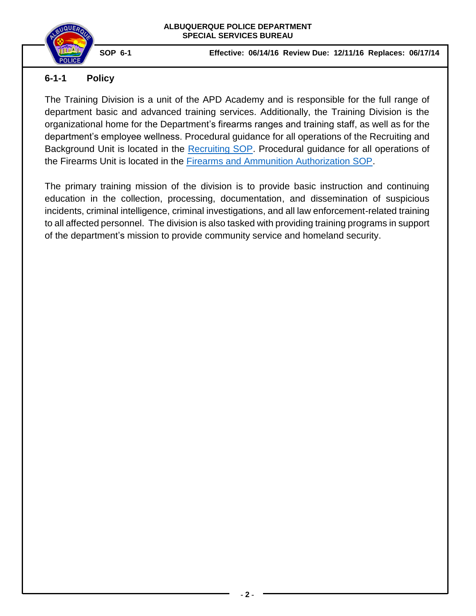

# <span id="page-1-0"></span>**6-1-1 Policy**

The Training Division is a unit of the APD Academy and is responsible for the full range of department basic and advanced training services. Additionally, the Training Division is the organizational home for the Department's firearms ranges and training staff, as well as for the department's employee wellness. Procedural guidance for all operations of the Recruiting and Background Unit is located in the [Recruiting SOP.](https://powerdms.com/link/IDS/document/?id=890) Procedural guidance for all operations of the Firearms Unit is located in the [Firearms and Ammunition Authorization SOP.](https://powerdms.com/link/IDS/document/?id=105)

The primary training mission of the division is to provide basic instruction and continuing education in the collection, processing, documentation, and dissemination of suspicious incidents, criminal intelligence, criminal investigations, and all law enforcement-related training to all affected personnel. The division is also tasked with providing training programs in support of the department's mission to provide community service and homeland security.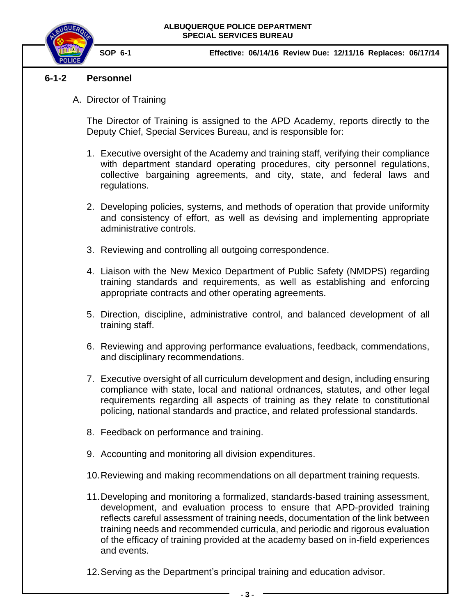

# <span id="page-2-1"></span>**6-1-2 Personnel**

<span id="page-2-0"></span>A. Director of Training

The Director of Training is assigned to the APD Academy, reports directly to the Deputy Chief, Special Services Bureau, and is responsible for:

- 1. Executive oversight of the Academy and training staff, verifying their compliance with department standard operating procedures, city personnel regulations, collective bargaining agreements, and city, state, and federal laws and regulations.
- 2. Developing policies, systems, and methods of operation that provide uniformity and consistency of effort, as well as devising and implementing appropriate administrative controls.
- 3. Reviewing and controlling all outgoing correspondence.
- 4. Liaison with the New Mexico Department of Public Safety (NMDPS) regarding training standards and requirements, as well as establishing and enforcing appropriate contracts and other operating agreements.
- 5. Direction, discipline, administrative control, and balanced development of all training staff.
- 6. Reviewing and approving performance evaluations, feedback, commendations, and disciplinary recommendations.
- 7. Executive oversight of all curriculum development and design, including ensuring compliance with state, local and national ordnances, statutes, and other legal requirements regarding all aspects of training as they relate to constitutional policing, national standards and practice, and related professional standards.
- 8. Feedback on performance and training.
- 9. Accounting and monitoring all division expenditures.
- 10.Reviewing and making recommendations on all department training requests.
- 11.Developing and monitoring a formalized, standards-based training assessment, development, and evaluation process to ensure that APD-provided training reflects careful assessment of training needs, documentation of the link between training needs and recommended curricula, and periodic and rigorous evaluation of the efficacy of training provided at the academy based on in-field experiences and events.
- 12.Serving as the Department's principal training and education advisor.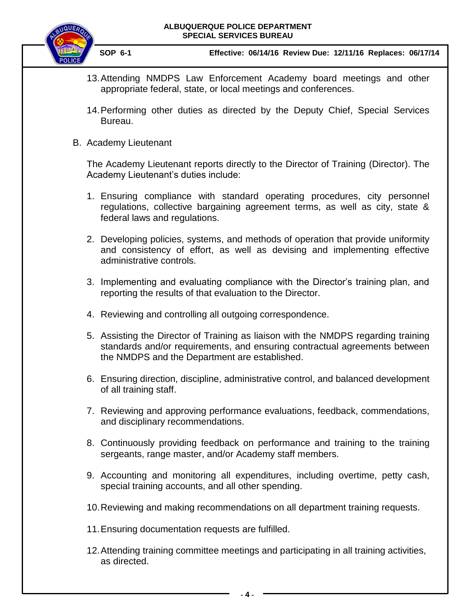

 **SOP 6-1 Effective: 06/14/16 Review Due: 12/11/16 Replaces: 06/17/14**

- 13.Attending NMDPS Law Enforcement Academy board meetings and other appropriate federal, state, or local meetings and conferences.
- 14.Performing other duties as directed by the Deputy Chief, Special Services Bureau.
- <span id="page-3-0"></span>B. Academy Lieutenant

The Academy Lieutenant reports directly to the Director of Training (Director). The Academy Lieutenant's duties include:

- 1. Ensuring compliance with standard operating procedures, city personnel regulations, collective bargaining agreement terms, as well as city, state & federal laws and regulations.
- 2. Developing policies, systems, and methods of operation that provide uniformity and consistency of effort, as well as devising and implementing effective administrative controls.
- 3. Implementing and evaluating compliance with the Director's training plan, and reporting the results of that evaluation to the Director.
- 4. Reviewing and controlling all outgoing correspondence.
- 5. Assisting the Director of Training as liaison with the NMDPS regarding training standards and/or requirements, and ensuring contractual agreements between the NMDPS and the Department are established.
- 6. Ensuring direction, discipline, administrative control, and balanced development of all training staff.
- 7. Reviewing and approving performance evaluations, feedback, commendations, and disciplinary recommendations.
- 8. Continuously providing feedback on performance and training to the training sergeants, range master, and/or Academy staff members.
- 9. Accounting and monitoring all expenditures, including overtime, petty cash, special training accounts, and all other spending.
- 10.Reviewing and making recommendations on all department training requests.
- 11.Ensuring documentation requests are fulfilled.
- 12.Attending training committee meetings and participating in all training activities, as directed.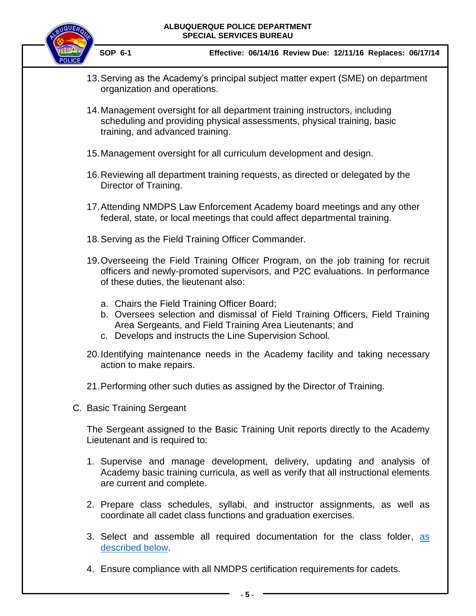

 **SOP 6-1 Effective: 06/14/16 Review Due: 12/11/16 Replaces: 06/17/14**

- 13.Serving as the Academy's principal subject matter expert (SME) on department organization and operations.
- 14.Management oversight for all department training instructors, including scheduling and providing physical assessments, physical training, basic training, and advanced training.
- 15.Management oversight for all curriculum development and design.
- 16.Reviewing all department training requests, as directed or delegated by the Director of Training.
- 17.Attending NMDPS Law Enforcement Academy board meetings and any other federal, state, or local meetings that could affect departmental training.
- 18.Serving as the Field Training Officer Commander.
- 19.Overseeing the Field Training Officer Program, on the job training for recruit officers and newly-promoted supervisors, and P2C evaluations. In performance of these duties, the lieutenant also:
	- a. Chairs the Field Training Officer Board;
	- b. Oversees selection and dismissal of Field Training Officers, Field Training Area Sergeants, and Field Training Area Lieutenants; and
	- c. Develops and instructs the Line Supervision School.
- 20.Identifying maintenance needs in the Academy facility and taking necessary action to make repairs.
- 21.Performing other such duties as assigned by the Director of Training.
- <span id="page-4-0"></span>C. Basic Training Sergeant

The Sergeant assigned to the Basic Training Unit reports directly to the Academy Lieutenant and is required to:

- 1. Supervise and manage development, delivery, updating and analysis of Academy basic training curricula, as well as verify that all instructional elements are current and complete.
- 2. Prepare class schedules, syllabi, and instructor assignments, as well as coordinate all cadet class functions and graduation exercises.
- 3. Select and assemble all required documentation for the class folder, as [described below.](#page-28-2)
- 4. Ensure compliance with all NMDPS certification requirements for cadets.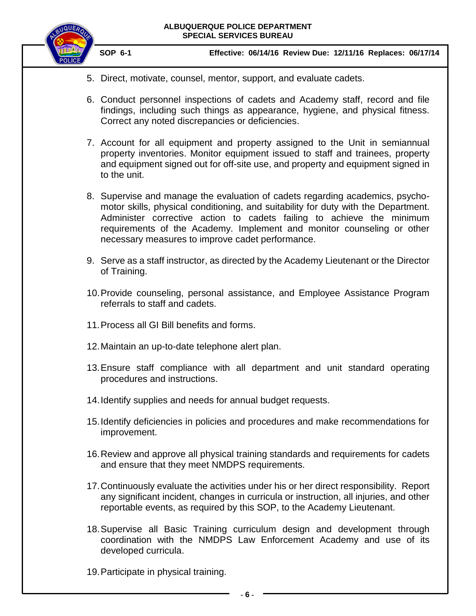

- 5. Direct, motivate, counsel, mentor, support, and evaluate cadets.
- 6. Conduct personnel inspections of cadets and Academy staff, record and file findings, including such things as appearance, hygiene, and physical fitness. Correct any noted discrepancies or deficiencies.
- 7. Account for all equipment and property assigned to the Unit in semiannual property inventories. Monitor equipment issued to staff and trainees, property and equipment signed out for off-site use, and property and equipment signed in to the unit.
- 8. Supervise and manage the evaluation of cadets regarding academics, psychomotor skills, physical conditioning, and suitability for duty with the Department. Administer corrective action to cadets failing to achieve the minimum requirements of the Academy. Implement and monitor counseling or other necessary measures to improve cadet performance.
- 9. Serve as a staff instructor, as directed by the Academy Lieutenant or the Director of Training.
- 10.Provide counseling, personal assistance, and Employee Assistance Program referrals to staff and cadets.
- 11.Process all GI Bill benefits and forms.
- 12.Maintain an up-to-date telephone alert plan.
- 13.Ensure staff compliance with all department and unit standard operating procedures and instructions.
- 14.Identify supplies and needs for annual budget requests.
- 15.Identify deficiencies in policies and procedures and make recommendations for improvement.
- 16.Review and approve all physical training standards and requirements for cadets and ensure that they meet NMDPS requirements.
- 17.Continuously evaluate the activities under his or her direct responsibility. Report any significant incident, changes in curricula or instruction, all injuries, and other reportable events, as required by this SOP, to the Academy Lieutenant.
- 18.Supervise all Basic Training curriculum design and development through coordination with the NMDPS Law Enforcement Academy and use of its developed curricula.
- 19.Participate in physical training.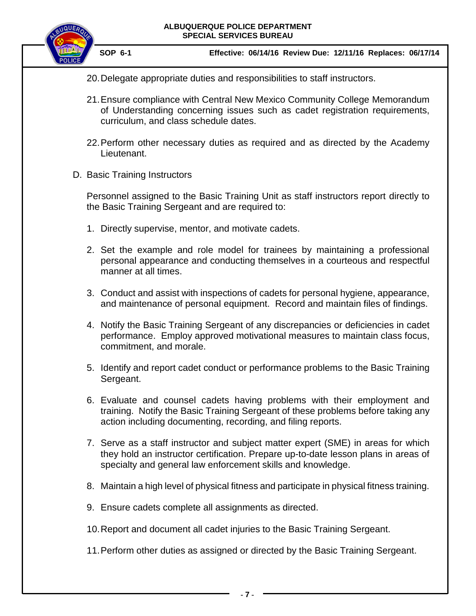

 **SOP 6-1 Effective: 06/14/16 Review Due: 12/11/16 Replaces: 06/17/14**

- 20.Delegate appropriate duties and responsibilities to staff instructors.
- 21.Ensure compliance with Central New Mexico Community College Memorandum of Understanding concerning issues such as cadet registration requirements, curriculum, and class schedule dates.
- 22.Perform other necessary duties as required and as directed by the Academy Lieutenant.
- <span id="page-6-0"></span>D. Basic Training Instructors

Personnel assigned to the Basic Training Unit as staff instructors report directly to the Basic Training Sergeant and are required to:

- 1. Directly supervise, mentor, and motivate cadets.
- 2. Set the example and role model for trainees by maintaining a professional personal appearance and conducting themselves in a courteous and respectful manner at all times.
- 3. Conduct and assist with inspections of cadets for personal hygiene, appearance, and maintenance of personal equipment. Record and maintain files of findings.
- 4. Notify the Basic Training Sergeant of any discrepancies or deficiencies in cadet performance. Employ approved motivational measures to maintain class focus, commitment, and morale.
- 5. Identify and report cadet conduct or performance problems to the Basic Training Sergeant.
- 6. Evaluate and counsel cadets having problems with their employment and training. Notify the Basic Training Sergeant of these problems before taking any action including documenting, recording, and filing reports.
- 7. Serve as a staff instructor and subject matter expert (SME) in areas for which they hold an instructor certification. Prepare up-to-date lesson plans in areas of specialty and general law enforcement skills and knowledge.
- 8. Maintain a high level of physical fitness and participate in physical fitness training.
- 9. Ensure cadets complete all assignments as directed.
- 10.Report and document all cadet injuries to the Basic Training Sergeant.
- <span id="page-6-1"></span>11.Perform other duties as assigned or directed by the Basic Training Sergeant.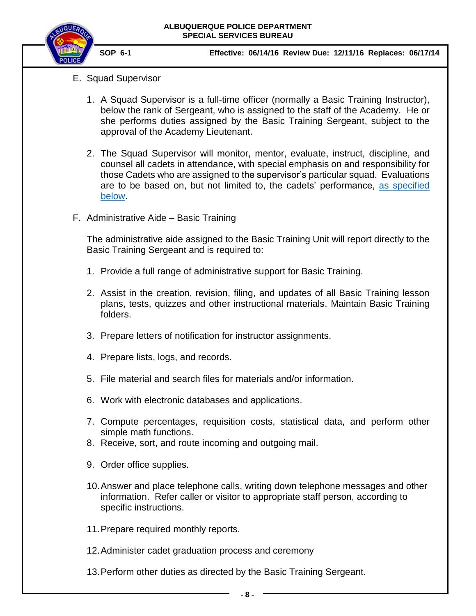

- E. Squad Supervisor
	- 1. A Squad Supervisor is a full-time officer (normally a Basic Training Instructor), below the rank of Sergeant, who is assigned to the staff of the Academy. He or she performs duties assigned by the Basic Training Sergeant, subject to the approval of the Academy Lieutenant.
	- 2. The Squad Supervisor will monitor, mentor, evaluate, instruct, discipline, and counsel all cadets in attendance, with special emphasis on and responsibility for those Cadets who are assigned to the supervisor's particular squad. Evaluations are to be based on, but not limited to, the cadets' performance, [as specified](#page-35-2)  [below.](#page-35-2)
- <span id="page-7-0"></span>F. Administrative Aide – Basic Training

The administrative aide assigned to the Basic Training Unit will report directly to the Basic Training Sergeant and is required to:

- 1. Provide a full range of administrative support for Basic Training.
- 2. Assist in the creation, revision, filing, and updates of all Basic Training lesson plans, tests, quizzes and other instructional materials. Maintain Basic Training folders.
- 3. Prepare letters of notification for instructor assignments.
- 4. Prepare lists, logs, and records.
- 5. File material and search files for materials and/or information.
- 6. Work with electronic databases and applications.
- 7. Compute percentages, requisition costs, statistical data, and perform other simple math functions.
- 8. Receive, sort, and route incoming and outgoing mail.
- 9. Order office supplies.
- 10.Answer and place telephone calls, writing down telephone messages and other information. Refer caller or visitor to appropriate staff person, according to specific instructions.
- 11.Prepare required monthly reports.
- 12.Administer cadet graduation process and ceremony
- 13.Perform other duties as directed by the Basic Training Sergeant.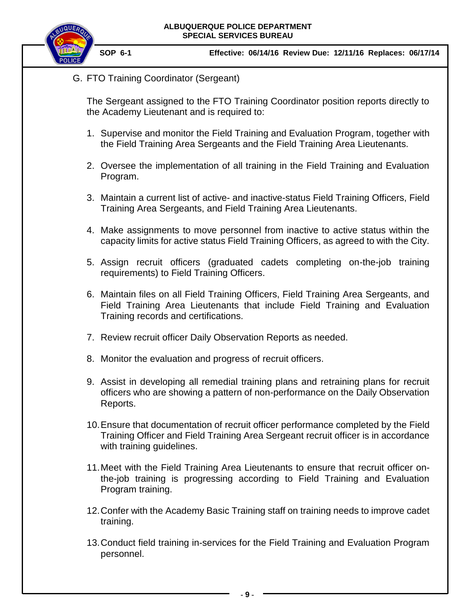

<span id="page-8-0"></span>G. FTO Training Coordinator (Sergeant)

The Sergeant assigned to the FTO Training Coordinator position reports directly to the Academy Lieutenant and is required to:

- 1. Supervise and monitor the Field Training and Evaluation Program, together with the Field Training Area Sergeants and the Field Training Area Lieutenants.
- 2. Oversee the implementation of all training in the Field Training and Evaluation Program.
- 3. Maintain a current list of active- and inactive-status Field Training Officers, Field Training Area Sergeants, and Field Training Area Lieutenants.
- 4. Make assignments to move personnel from inactive to active status within the capacity limits for active status Field Training Officers, as agreed to with the City.
- 5. Assign recruit officers (graduated cadets completing on-the-job training requirements) to Field Training Officers.
- 6. Maintain files on all Field Training Officers, Field Training Area Sergeants, and Field Training Area Lieutenants that include Field Training and Evaluation Training records and certifications.
- 7. Review recruit officer Daily Observation Reports as needed.
- 8. Monitor the evaluation and progress of recruit officers.
- 9. Assist in developing all remedial training plans and retraining plans for recruit officers who are showing a pattern of non-performance on the Daily Observation Reports.
- 10.Ensure that documentation of recruit officer performance completed by the Field Training Officer and Field Training Area Sergeant recruit officer is in accordance with training guidelines.
- 11.Meet with the Field Training Area Lieutenants to ensure that recruit officer onthe-job training is progressing according to Field Training and Evaluation Program training.
- 12.Confer with the Academy Basic Training staff on training needs to improve cadet training.
- 13.Conduct field training in-services for the Field Training and Evaluation Program personnel.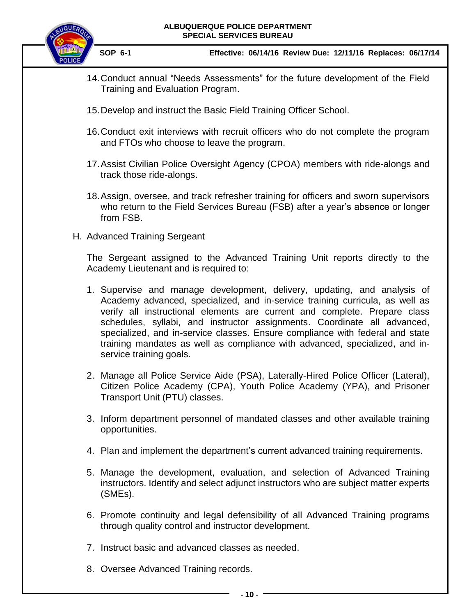

 **SOP 6-1 Effective: 06/14/16 Review Due: 12/11/16 Replaces: 06/17/14**

- 14.Conduct annual "Needs Assessments" for the future development of the Field Training and Evaluation Program.
- 15.Develop and instruct the Basic Field Training Officer School.
- 16.Conduct exit interviews with recruit officers who do not complete the program and FTOs who choose to leave the program.
- 17.Assist Civilian Police Oversight Agency (CPOA) members with ride-alongs and track those ride-alongs.
- 18.Assign, oversee, and track refresher training for officers and sworn supervisors who return to the Field Services Bureau (FSB) after a year's absence or longer from FSB.
- <span id="page-9-0"></span>H. Advanced Training Sergeant

The Sergeant assigned to the Advanced Training Unit reports directly to the Academy Lieutenant and is required to:

- 1. Supervise and manage development, delivery, updating, and analysis of Academy advanced, specialized, and in-service training curricula, as well as verify all instructional elements are current and complete. Prepare class schedules, syllabi, and instructor assignments. Coordinate all advanced, specialized, and in-service classes. Ensure compliance with federal and state training mandates as well as compliance with advanced, specialized, and inservice training goals.
- 2. Manage all Police Service Aide (PSA), Laterally-Hired Police Officer (Lateral), Citizen Police Academy (CPA), Youth Police Academy (YPA), and Prisoner Transport Unit (PTU) classes.
- 3. Inform department personnel of mandated classes and other available training opportunities.
- 4. Plan and implement the department's current advanced training requirements.
- 5. Manage the development, evaluation, and selection of Advanced Training instructors. Identify and select adjunct instructors who are subject matter experts (SMEs).
- 6. Promote continuity and legal defensibility of all Advanced Training programs through quality control and instructor development.
- 7. Instruct basic and advanced classes as needed.
- 8. Oversee Advanced Training records.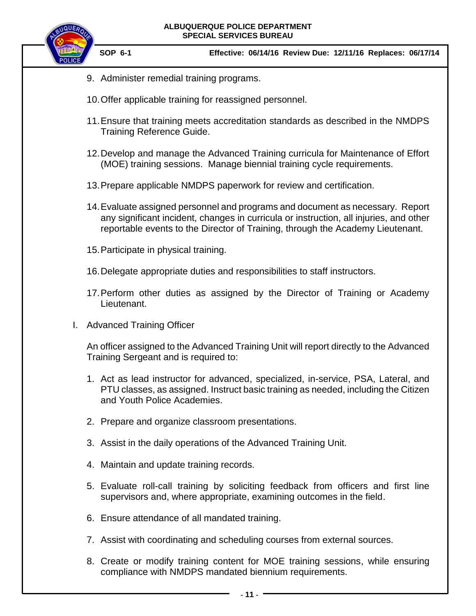

 **SOP 6-1 Effective: 06/14/16 Review Due: 12/11/16 Replaces: 06/17/14**

- 9. Administer remedial training programs.
- 10.Offer applicable training for reassigned personnel.
- 11.Ensure that training meets accreditation standards as described in the NMDPS Training Reference Guide.
- 12.Develop and manage the Advanced Training curricula for Maintenance of Effort (MOE) training sessions. Manage biennial training cycle requirements.
- 13.Prepare applicable NMDPS paperwork for review and certification.
- 14.Evaluate assigned personnel and programs and document as necessary. Report any significant incident, changes in curricula or instruction, all injuries, and other reportable events to the Director of Training, through the Academy Lieutenant.
- 15.Participate in physical training.
- 16.Delegate appropriate duties and responsibilities to staff instructors.
- 17.Perform other duties as assigned by the Director of Training or Academy Lieutenant.
- <span id="page-10-0"></span>I. Advanced Training Officer

An officer assigned to the Advanced Training Unit will report directly to the Advanced Training Sergeant and is required to:

- 1. Act as lead instructor for advanced, specialized, in-service, PSA, Lateral, and PTU classes, as assigned. Instruct basic training as needed, including the Citizen and Youth Police Academies.
- 2. Prepare and organize classroom presentations.
- 3. Assist in the daily operations of the Advanced Training Unit.
- 4. Maintain and update training records.
- 5. Evaluate roll-call training by soliciting feedback from officers and first line supervisors and, where appropriate, examining outcomes in the field.
- 6. Ensure attendance of all mandated training.
- 7. Assist with coordinating and scheduling courses from external sources.
- 8. Create or modify training content for MOE training sessions, while ensuring compliance with NMDPS mandated biennium requirements.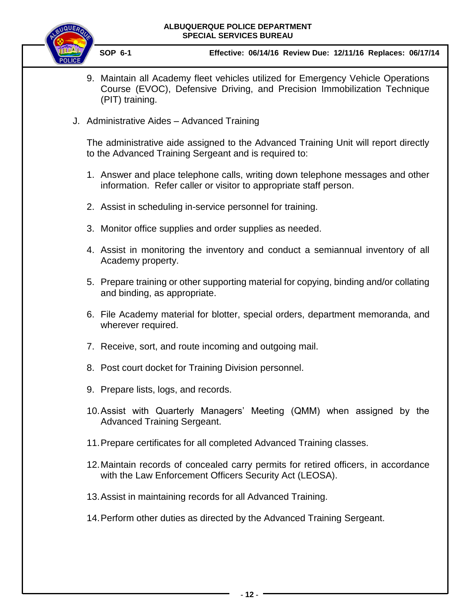

 **SOP 6-1 Effective: 06/14/16 Review Due: 12/11/16 Replaces: 06/17/14**

- 9. Maintain all Academy fleet vehicles utilized for Emergency Vehicle Operations Course (EVOC), Defensive Driving, and Precision Immobilization Technique (PIT) training.
- <span id="page-11-0"></span>J. Administrative Aides – Advanced Training

The administrative aide assigned to the Advanced Training Unit will report directly to the Advanced Training Sergeant and is required to:

- 1. Answer and place telephone calls, writing down telephone messages and other information. Refer caller or visitor to appropriate staff person.
- 2. Assist in scheduling in-service personnel for training.
- 3. Monitor office supplies and order supplies as needed.
- 4. Assist in monitoring the inventory and conduct a semiannual inventory of all Academy property.
- 5. Prepare training or other supporting material for copying, binding and/or collating and binding, as appropriate.
- 6. File Academy material for blotter, special orders, department memoranda, and wherever required.
- 7. Receive, sort, and route incoming and outgoing mail.
- 8. Post court docket for Training Division personnel.
- 9. Prepare lists, logs, and records.
- 10.Assist with Quarterly Managers' Meeting (QMM) when assigned by the Advanced Training Sergeant.
- 11.Prepare certificates for all completed Advanced Training classes.
- 12.Maintain records of concealed carry permits for retired officers, in accordance with the Law Enforcement Officers Security Act (LEOSA).
- 13.Assist in maintaining records for all Advanced Training.
- <span id="page-11-1"></span>14.Perform other duties as directed by the Advanced Training Sergeant.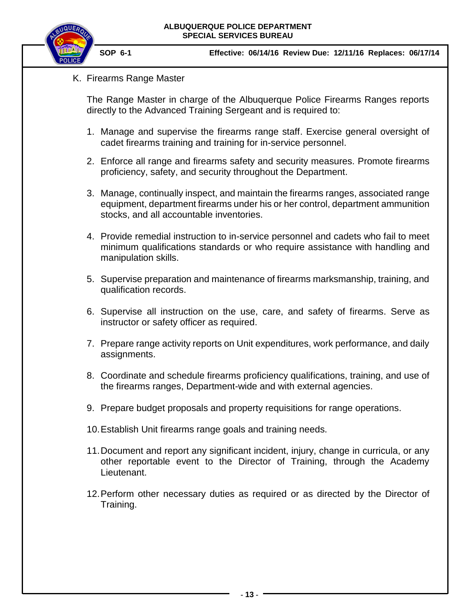

K. Firearms Range Master

The Range Master in charge of the Albuquerque Police Firearms Ranges reports directly to the Advanced Training Sergeant and is required to:

- 1. Manage and supervise the firearms range staff. Exercise general oversight of cadet firearms training and training for in-service personnel.
- 2. Enforce all range and firearms safety and security measures. Promote firearms proficiency, safety, and security throughout the Department.
- 3. Manage, continually inspect, and maintain the firearms ranges, associated range equipment, department firearms under his or her control, department ammunition stocks, and all accountable inventories.
- 4. Provide remedial instruction to in-service personnel and cadets who fail to meet minimum qualifications standards or who require assistance with handling and manipulation skills.
- 5. Supervise preparation and maintenance of firearms marksmanship, training, and qualification records.
- 6. Supervise all instruction on the use, care, and safety of firearms. Serve as instructor or safety officer as required.
- 7. Prepare range activity reports on Unit expenditures, work performance, and daily assignments.
- 8. Coordinate and schedule firearms proficiency qualifications, training, and use of the firearms ranges, Department-wide and with external agencies.
- 9. Prepare budget proposals and property requisitions for range operations.
- 10.Establish Unit firearms range goals and training needs.
- 11.Document and report any significant incident, injury, change in curricula, or any other reportable event to the Director of Training, through the Academy Lieutenant.
- 12.Perform other necessary duties as required or as directed by the Director of Training.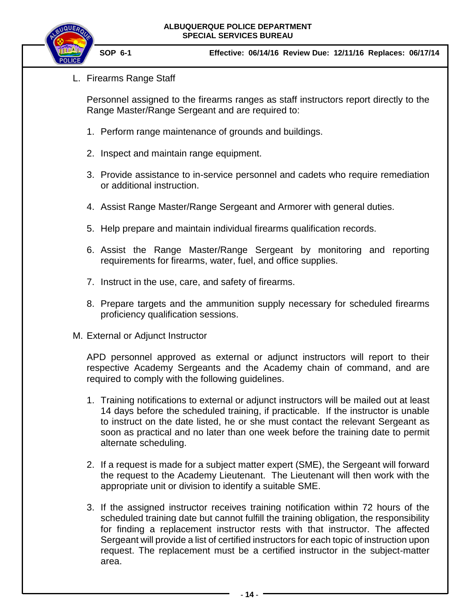

<span id="page-13-0"></span>L. Firearms Range Staff

Personnel assigned to the firearms ranges as staff instructors report directly to the Range Master/Range Sergeant and are required to:

- 1. Perform range maintenance of grounds and buildings.
- 2. Inspect and maintain range equipment.
- 3. Provide assistance to in-service personnel and cadets who require remediation or additional instruction.
- 4. Assist Range Master/Range Sergeant and Armorer with general duties.
- 5. Help prepare and maintain individual firearms qualification records.
- 6. Assist the Range Master/Range Sergeant by monitoring and reporting requirements for firearms, water, fuel, and office supplies.
- 7. Instruct in the use, care, and safety of firearms.
- 8. Prepare targets and the ammunition supply necessary for scheduled firearms proficiency qualification sessions.
- <span id="page-13-1"></span>M. External or Adjunct Instructor

APD personnel approved as external or adjunct instructors will report to their respective Academy Sergeants and the Academy chain of command, and are required to comply with the following guidelines.

- 1. Training notifications to external or adjunct instructors will be mailed out at least 14 days before the scheduled training, if practicable. If the instructor is unable to instruct on the date listed, he or she must contact the relevant Sergeant as soon as practical and no later than one week before the training date to permit alternate scheduling.
- 2. If a request is made for a subject matter expert (SME), the Sergeant will forward the request to the Academy Lieutenant. The Lieutenant will then work with the appropriate unit or division to identify a suitable SME.
- 3. If the assigned instructor receives training notification within 72 hours of the scheduled training date but cannot fulfill the training obligation, the responsibility for finding a replacement instructor rests with that instructor. The affected Sergeant will provide a list of certified instructors for each topic of instruction upon request. The replacement must be a certified instructor in the subject-matter area.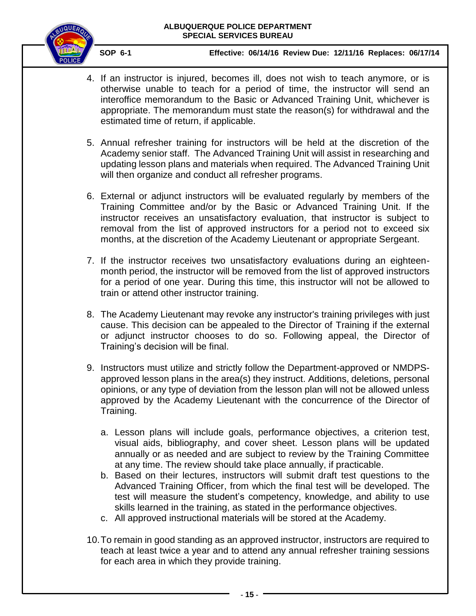

- 4. If an instructor is injured, becomes ill, does not wish to teach anymore, or is otherwise unable to teach for a period of time, the instructor will send an interoffice memorandum to the Basic or Advanced Training Unit, whichever is appropriate. The memorandum must state the reason(s) for withdrawal and the estimated time of return, if applicable.
- 5. Annual refresher training for instructors will be held at the discretion of the Academy senior staff. The Advanced Training Unit will assist in researching and updating lesson plans and materials when required. The Advanced Training Unit will then organize and conduct all refresher programs.
- 6. External or adjunct instructors will be evaluated regularly by members of the Training Committee and/or by the Basic or Advanced Training Unit. If the instructor receives an unsatisfactory evaluation, that instructor is subject to removal from the list of approved instructors for a period not to exceed six months, at the discretion of the Academy Lieutenant or appropriate Sergeant.
- 7. If the instructor receives two unsatisfactory evaluations during an eighteenmonth period, the instructor will be removed from the list of approved instructors for a period of one year. During this time, this instructor will not be allowed to train or attend other instructor training.
- 8. The Academy Lieutenant may revoke any instructor's training privileges with just cause. This decision can be appealed to the Director of Training if the external or adjunct instructor chooses to do so. Following appeal, the Director of Training's decision will be final.
- 9. Instructors must utilize and strictly follow the Department-approved or NMDPSapproved lesson plans in the area(s) they instruct. Additions, deletions, personal opinions, or any type of deviation from the lesson plan will not be allowed unless approved by the Academy Lieutenant with the concurrence of the Director of Training.
	- a. Lesson plans will include goals, performance objectives, a criterion test, visual aids, bibliography, and cover sheet. Lesson plans will be updated annually or as needed and are subject to review by the Training Committee at any time. The review should take place annually, if practicable.
	- b. Based on their lectures, instructors will submit draft test questions to the Advanced Training Officer, from which the final test will be developed. The test will measure the student's competency, knowledge, and ability to use skills learned in the training, as stated in the performance objectives.
	- c. All approved instructional materials will be stored at the Academy.
- 10.To remain in good standing as an approved instructor, instructors are required to teach at least twice a year and to attend any annual refresher training sessions for each area in which they provide training.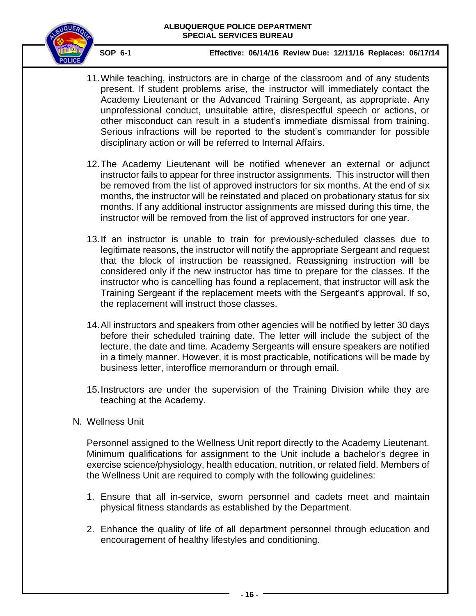

- 11.While teaching, instructors are in charge of the classroom and of any students present. If student problems arise, the instructor will immediately contact the Academy Lieutenant or the Advanced Training Sergeant, as appropriate. Any unprofessional conduct, unsuitable attire, disrespectful speech or actions, or other misconduct can result in a student's immediate dismissal from training. Serious infractions will be reported to the student's commander for possible disciplinary action or will be referred to Internal Affairs.
- 12.The Academy Lieutenant will be notified whenever an external or adjunct instructor fails to appear for three instructor assignments. This instructor will then be removed from the list of approved instructors for six months. At the end of six months, the instructor will be reinstated and placed on probationary status for six months. If any additional instructor assignments are missed during this time, the instructor will be removed from the list of approved instructors for one year.
- 13.If an instructor is unable to train for previously-scheduled classes due to legitimate reasons, the instructor will notify the appropriate Sergeant and request that the block of instruction be reassigned. Reassigning instruction will be considered only if the new instructor has time to prepare for the classes. If the instructor who is cancelling has found a replacement, that instructor will ask the Training Sergeant if the replacement meets with the Sergeant's approval. If so, the replacement will instruct those classes.
- 14.All instructors and speakers from other agencies will be notified by letter 30 days before their scheduled training date. The letter will include the subject of the lecture, the date and time. Academy Sergeants will ensure speakers are notified in a timely manner. However, it is most practicable, notifications will be made by business letter, interoffice memorandum or through email.
- 15.Instructors are under the supervision of the Training Division while they are teaching at the Academy.
- <span id="page-15-0"></span>N. Wellness Unit

Personnel assigned to the Wellness Unit report directly to the Academy Lieutenant. Minimum qualifications for assignment to the Unit include a bachelor's degree in exercise science/physiology, health education, nutrition, or related field. Members of the Wellness Unit are required to comply with the following guidelines:

- 1. Ensure that all in-service, sworn personnel and cadets meet and maintain physical fitness standards as established by the Department.
- 2. Enhance the quality of life of all department personnel through education and encouragement of healthy lifestyles and conditioning.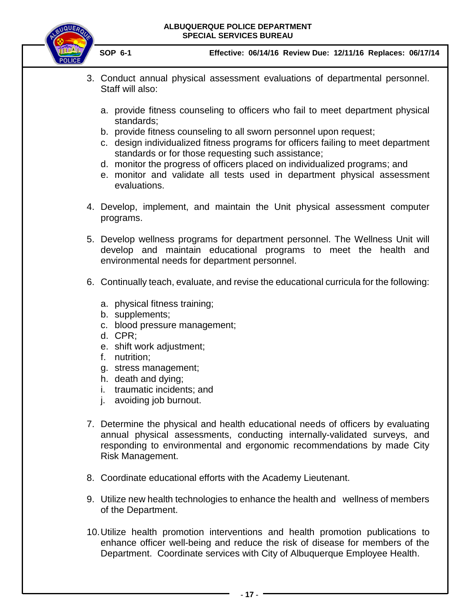

- 3. Conduct annual physical assessment evaluations of departmental personnel. Staff will also:
	- a. provide fitness counseling to officers who fail to meet department physical standards;
	- b. provide fitness counseling to all sworn personnel upon request;
	- c. design individualized fitness programs for officers failing to meet department standards or for those requesting such assistance;
	- d. monitor the progress of officers placed on individualized programs; and
	- e. monitor and validate all tests used in department physical assessment evaluations.
- 4. Develop, implement, and maintain the Unit physical assessment computer programs.
- 5. Develop wellness programs for department personnel. The Wellness Unit will develop and maintain educational programs to meet the health and environmental needs for department personnel.
- 6. Continually teach, evaluate, and revise the educational curricula for the following:
	- a. physical fitness training;
	- b. supplements;
	- c. blood pressure management;
	- d. CPR;
	- e. shift work adjustment;
	- f. nutrition;
	- g. stress management;
	- h. death and dying;
	- i. traumatic incidents; and
	- j. avoiding job burnout.
- 7. Determine the physical and health educational needs of officers by evaluating annual physical assessments, conducting internally-validated surveys, and responding to environmental and ergonomic recommendations by made City Risk Management.
- 8. Coordinate educational efforts with the Academy Lieutenant.
- 9. Utilize new health technologies to enhance the health and wellness of members of the Department.
- 10.Utilize health promotion interventions and health promotion publications to enhance officer well-being and reduce the risk of disease for members of the Department. Coordinate services with City of Albuquerque Employee Health.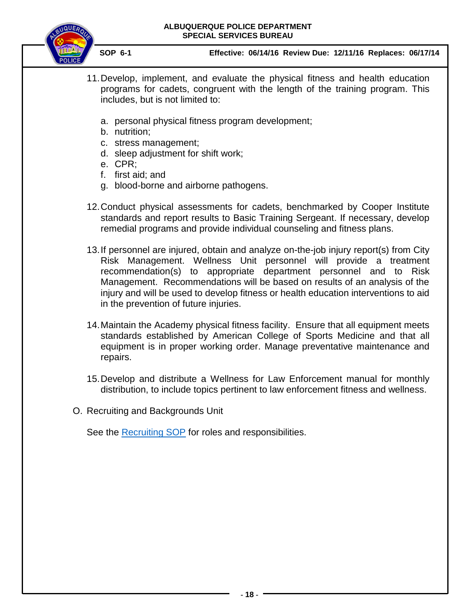

 **SOP 6-1 Effective: 06/14/16 Review Due: 12/11/16 Replaces: 06/17/14**

- 11.Develop, implement, and evaluate the physical fitness and health education programs for cadets, congruent with the length of the training program. This includes, but is not limited to:
	- a. personal physical fitness program development;
	- b. nutrition;
	- c. stress management;
	- d. sleep adjustment for shift work;
	- e. CPR;
	- f. first aid; and
	- g. blood-borne and airborne pathogens.
- 12.Conduct physical assessments for cadets, benchmarked by Cooper Institute standards and report results to Basic Training Sergeant. If necessary, develop remedial programs and provide individual counseling and fitness plans.
- 13.If personnel are injured, obtain and analyze on-the-job injury report(s) from City Risk Management. Wellness Unit personnel will provide a treatment recommendation(s) to appropriate department personnel and to Risk Management. Recommendations will be based on results of an analysis of the injury and will be used to develop fitness or health education interventions to aid in the prevention of future injuries.
- 14.Maintain the Academy physical fitness facility. Ensure that all equipment meets standards established by American College of Sports Medicine and that all equipment is in proper working order. Manage preventative maintenance and repairs.
- 15.Develop and distribute a Wellness for Law Enforcement manual for monthly distribution, to include topics pertinent to law enforcement fitness and wellness.
- <span id="page-17-0"></span>O. Recruiting and Backgrounds Unit

See the [Recruiting SOP](https://powerdms.com/link/IDS/document/?id=890) for roles and responsibilities.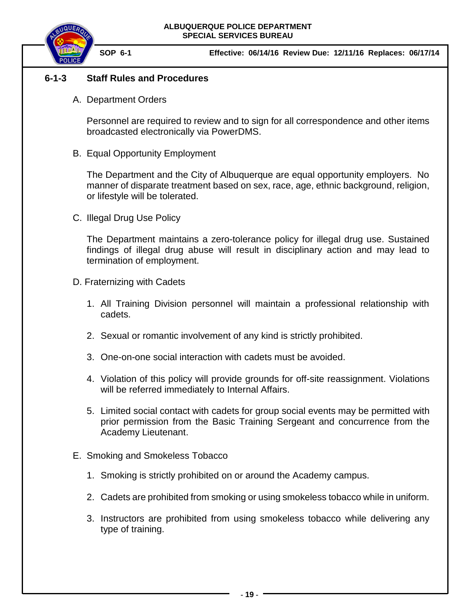

# <span id="page-18-1"></span><span id="page-18-0"></span>**6-1-3 Staff Rules and Procedures**

A. Department Orders

Personnel are required to review and to sign for all correspondence and other items broadcasted electronically via PowerDMS.

<span id="page-18-2"></span>B. Equal Opportunity Employment

The Department and the City of Albuquerque are equal opportunity employers. No manner of disparate treatment based on sex, race, age, ethnic background, religion, or lifestyle will be tolerated.

<span id="page-18-3"></span>C. Illegal Drug Use Policy

The Department maintains a zero-tolerance policy for illegal drug use. Sustained findings of illegal drug abuse will result in disciplinary action and may lead to termination of employment.

- <span id="page-18-4"></span>D. Fraternizing with Cadets
	- 1. All Training Division personnel will maintain a professional relationship with cadets.
	- 2. Sexual or romantic involvement of any kind is strictly prohibited.
	- 3. One-on-one social interaction with cadets must be avoided.
	- 4. Violation of this policy will provide grounds for off-site reassignment. Violations will be referred immediately to Internal Affairs.
	- 5. Limited social contact with cadets for group social events may be permitted with prior permission from the Basic Training Sergeant and concurrence from the Academy Lieutenant.
- <span id="page-18-5"></span>E. Smoking and Smokeless Tobacco
	- 1. Smoking is strictly prohibited on or around the Academy campus.
	- 2. Cadets are prohibited from smoking or using smokeless tobacco while in uniform.
	- 3. Instructors are prohibited from using smokeless tobacco while delivering any type of training.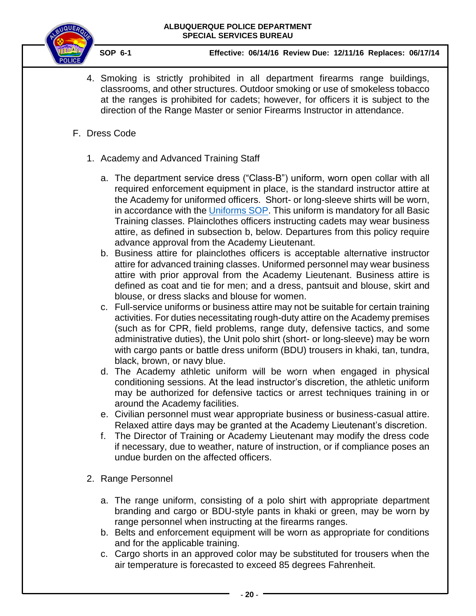

- 4. Smoking is strictly prohibited in all department firearms range buildings, classrooms, and other structures. Outdoor smoking or use of smokeless tobacco at the ranges is prohibited for cadets; however, for officers it is subject to the direction of the Range Master or senior Firearms Instructor in attendance.
- <span id="page-19-0"></span>F. Dress Code
	- 1. Academy and Advanced Training Staff
		- a. The department service dress ("Class-B") uniform, worn open collar with all required enforcement equipment in place, is the standard instructor attire at the Academy for uniformed officers. Short- or long-sleeve shirts will be worn, in accordance with the [Uniforms SOP.](https://powerdms.com/link/IDS/document/?id=84) This uniform is mandatory for all Basic Training classes. Plainclothes officers instructing cadets may wear business attire, as defined in subsection b, below. Departures from this policy require advance approval from the Academy Lieutenant.
		- b. Business attire for plainclothes officers is acceptable alternative instructor attire for advanced training classes. Uniformed personnel may wear business attire with prior approval from the Academy Lieutenant. Business attire is defined as coat and tie for men; and a dress, pantsuit and blouse, skirt and blouse, or dress slacks and blouse for women.
		- c. Full-service uniforms or business attire may not be suitable for certain training activities. For duties necessitating rough-duty attire on the Academy premises (such as for CPR, field problems, range duty, defensive tactics, and some administrative duties), the Unit polo shirt (short- or long-sleeve) may be worn with cargo pants or battle dress uniform (BDU) trousers in khaki, tan, tundra, black, brown, or navy blue.
		- d. The Academy athletic uniform will be worn when engaged in physical conditioning sessions. At the lead instructor's discretion, the athletic uniform may be authorized for defensive tactics or arrest techniques training in or around the Academy facilities.
		- e. Civilian personnel must wear appropriate business or business-casual attire. Relaxed attire days may be granted at the Academy Lieutenant's discretion.
		- f. The Director of Training or Academy Lieutenant may modify the dress code if necessary, due to weather, nature of instruction, or if compliance poses an undue burden on the affected officers.
	- 2. Range Personnel
		- a. The range uniform, consisting of a polo shirt with appropriate department branding and cargo or BDU-style pants in khaki or green, may be worn by range personnel when instructing at the firearms ranges.
		- b. Belts and enforcement equipment will be worn as appropriate for conditions and for the applicable training.
		- c. Cargo shorts in an approved color may be substituted for trousers when the air temperature is forecasted to exceed 85 degrees Fahrenheit.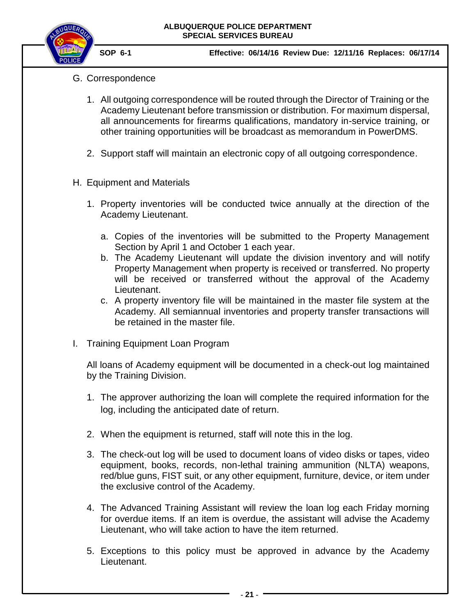

- <span id="page-20-0"></span>G. Correspondence
	- 1. All outgoing correspondence will be routed through the Director of Training or the Academy Lieutenant before transmission or distribution. For maximum dispersal, all announcements for firearms qualifications, mandatory in-service training, or other training opportunities will be broadcast as memorandum in PowerDMS.
	- 2. Support staff will maintain an electronic copy of all outgoing correspondence.
- <span id="page-20-1"></span>H. Equipment and Materials
	- 1. Property inventories will be conducted twice annually at the direction of the Academy Lieutenant.
		- a. Copies of the inventories will be submitted to the Property Management Section by April 1 and October 1 each year.
		- b. The Academy Lieutenant will update the division inventory and will notify Property Management when property is received or transferred. No property will be received or transferred without the approval of the Academy Lieutenant.
		- c. A property inventory file will be maintained in the master file system at the Academy. All semiannual inventories and property transfer transactions will be retained in the master file.
- <span id="page-20-2"></span>I. Training Equipment Loan Program

All loans of Academy equipment will be documented in a check-out log maintained by the Training Division.

- 1. The approver authorizing the loan will complete the required information for the log, including the anticipated date of return.
- 2. When the equipment is returned, staff will note this in the log.
- 3. The check-out log will be used to document loans of video disks or tapes, video equipment, books, records, non-lethal training ammunition (NLTA) weapons, red/blue guns, FIST suit, or any other equipment, furniture, device, or item under the exclusive control of the Academy.
- 4. The Advanced Training Assistant will review the loan log each Friday morning for overdue items. If an item is overdue, the assistant will advise the Academy Lieutenant, who will take action to have the item returned.
- 5. Exceptions to this policy must be approved in advance by the Academy Lieutenant.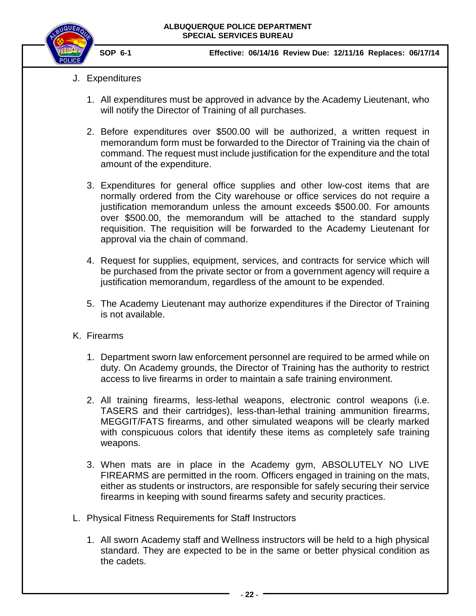

- <span id="page-21-0"></span>J. Expenditures
	- 1. All expenditures must be approved in advance by the Academy Lieutenant, who will notify the Director of Training of all purchases.
	- 2. Before expenditures over \$500.00 will be authorized, a written request in memorandum form must be forwarded to the Director of Training via the chain of command. The request must include justification for the expenditure and the total amount of the expenditure.
	- 3. Expenditures for general office supplies and other low-cost items that are normally ordered from the City warehouse or office services do not require a justification memorandum unless the amount exceeds \$500.00. For amounts over \$500.00, the memorandum will be attached to the standard supply requisition. The requisition will be forwarded to the Academy Lieutenant for approval via the chain of command.
	- 4. Request for supplies, equipment, services, and contracts for service which will be purchased from the private sector or from a government agency will require a justification memorandum, regardless of the amount to be expended.
	- 5. The Academy Lieutenant may authorize expenditures if the Director of Training is not available.
- <span id="page-21-1"></span>K. Firearms
	- 1. Department sworn law enforcement personnel are required to be armed while on duty. On Academy grounds, the Director of Training has the authority to restrict access to live firearms in order to maintain a safe training environment.
	- 2. All training firearms, less-lethal weapons, electronic control weapons (i.e. TASERS and their cartridges), less-than-lethal training ammunition firearms, MEGGIT/FATS firearms, and other simulated weapons will be clearly marked with conspicuous colors that identify these items as completely safe training weapons.
	- 3. When mats are in place in the Academy gym, ABSOLUTELY NO LIVE FIREARMS are permitted in the room. Officers engaged in training on the mats, either as students or instructors, are responsible for safely securing their service firearms in keeping with sound firearms safety and security practices.
- <span id="page-21-2"></span>L. Physical Fitness Requirements for Staff Instructors
	- 1. All sworn Academy staff and Wellness instructors will be held to a high physical standard. They are expected to be in the same or better physical condition as the cadets.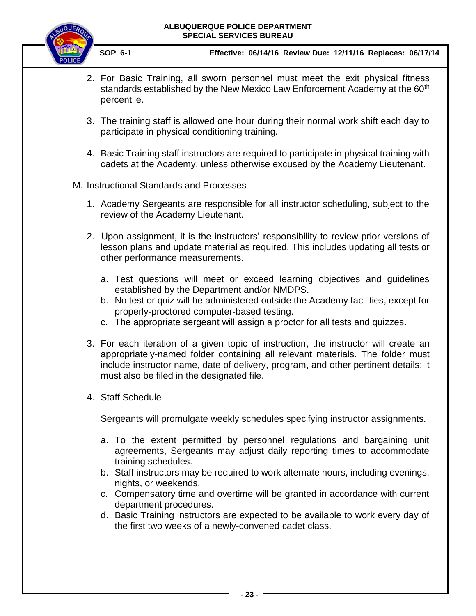

 **SOP 6-1 Effective: 06/14/16 Review Due: 12/11/16 Replaces: 06/17/14**

- 2. For Basic Training, all sworn personnel must meet the exit physical fitness standards established by the New Mexico Law Enforcement Academy at the 60<sup>th</sup> percentile.
- 3. The training staff is allowed one hour during their normal work shift each day to participate in physical conditioning training.
- 4. Basic Training staff instructors are required to participate in physical training with cadets at the Academy, unless otherwise excused by the Academy Lieutenant.
- <span id="page-22-0"></span>M. Instructional Standards and Processes
	- 1. Academy Sergeants are responsible for all instructor scheduling, subject to the review of the Academy Lieutenant.
	- 2. Upon assignment, it is the instructors' responsibility to review prior versions of lesson plans and update material as required. This includes updating all tests or other performance measurements.
		- a. Test questions will meet or exceed learning objectives and guidelines established by the Department and/or NMDPS.
		- b. No test or quiz will be administered outside the Academy facilities, except for properly-proctored computer-based testing.
		- c. The appropriate sergeant will assign a proctor for all tests and quizzes.
	- 3. For each iteration of a given topic of instruction, the instructor will create an appropriately-named folder containing all relevant materials. The folder must include instructor name, date of delivery, program, and other pertinent details; it must also be filed in the designated file.
	- 4. Staff Schedule

Sergeants will promulgate weekly schedules specifying instructor assignments.

- a. To the extent permitted by personnel regulations and bargaining unit agreements, Sergeants may adjust daily reporting times to accommodate training schedules.
- b. Staff instructors may be required to work alternate hours, including evenings, nights, or weekends.
- c. Compensatory time and overtime will be granted in accordance with current department procedures.
- d. Basic Training instructors are expected to be available to work every day of the first two weeks of a newly-convened cadet class.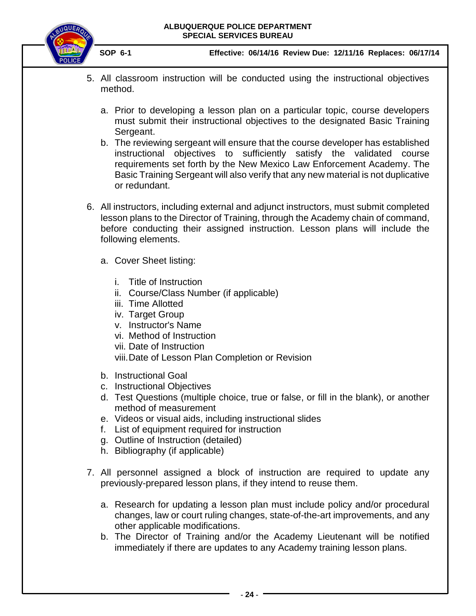

- 5. All classroom instruction will be conducted using the instructional objectives method.
	- a. Prior to developing a lesson plan on a particular topic, course developers must submit their instructional objectives to the designated Basic Training Sergeant.
	- b. The reviewing sergeant will ensure that the course developer has established instructional objectives to sufficiently satisfy the validated course requirements set forth by the New Mexico Law Enforcement Academy. The Basic Training Sergeant will also verify that any new material is not duplicative or redundant.
- 6. All instructors, including external and adjunct instructors, must submit completed lesson plans to the Director of Training, through the Academy chain of command, before conducting their assigned instruction. Lesson plans will include the following elements.
	- a. Cover Sheet listing:
		- i. Title of Instruction
		- ii. Course/Class Number (if applicable)
		- iii. Time Allotted
		- iv. Target Group
		- v. Instructor's Name
		- vi. Method of Instruction
		- vii. Date of Instruction
		- viii.Date of Lesson Plan Completion or Revision
	- b. Instructional Goal
	- c. Instructional Objectives
	- d. Test Questions (multiple choice, true or false, or fill in the blank), or another method of measurement
	- e. Videos or visual aids, including instructional slides
	- f. List of equipment required for instruction
	- g. Outline of Instruction (detailed)
	- h. Bibliography (if applicable)
- 7. All personnel assigned a block of instruction are required to update any previously-prepared lesson plans, if they intend to reuse them.
	- a. Research for updating a lesson plan must include policy and/or procedural changes, law or court ruling changes, state-of-the-art improvements, and any other applicable modifications.
	- b. The Director of Training and/or the Academy Lieutenant will be notified immediately if there are updates to any Academy training lesson plans.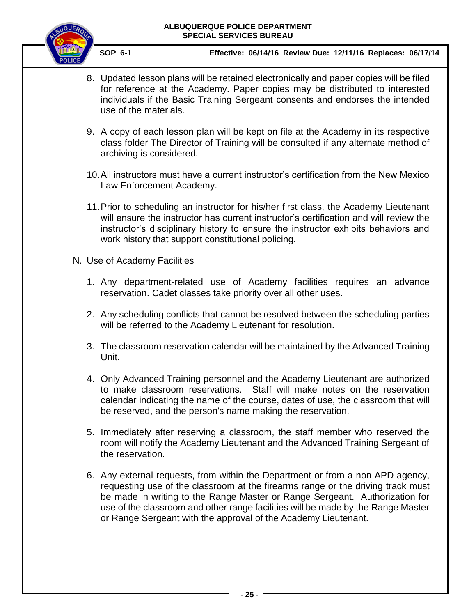

- 8. Updated lesson plans will be retained electronically and paper copies will be filed for reference at the Academy. Paper copies may be distributed to interested individuals if the Basic Training Sergeant consents and endorses the intended use of the materials.
- 9. A copy of each lesson plan will be kept on file at the Academy in its respective class folder The Director of Training will be consulted if any alternate method of archiving is considered.
- 10.All instructors must have a current instructor's certification from the New Mexico Law Enforcement Academy.
- 11.Prior to scheduling an instructor for his/her first class, the Academy Lieutenant will ensure the instructor has current instructor's certification and will review the instructor's disciplinary history to ensure the instructor exhibits behaviors and work history that support constitutional policing.
- <span id="page-24-0"></span>N. Use of Academy Facilities
	- 1. Any department-related use of Academy facilities requires an advance reservation. Cadet classes take priority over all other uses.
	- 2. Any scheduling conflicts that cannot be resolved between the scheduling parties will be referred to the Academy Lieutenant for resolution.
	- 3. The classroom reservation calendar will be maintained by the Advanced Training Unit.
	- 4. Only Advanced Training personnel and the Academy Lieutenant are authorized to make classroom reservations. Staff will make notes on the reservation calendar indicating the name of the course, dates of use, the classroom that will be reserved, and the person's name making the reservation.
	- 5. Immediately after reserving a classroom, the staff member who reserved the room will notify the Academy Lieutenant and the Advanced Training Sergeant of the reservation.
	- 6. Any external requests, from within the Department or from a non-APD agency, requesting use of the classroom at the firearms range or the driving track must be made in writing to the Range Master or Range Sergeant. Authorization for use of the classroom and other range facilities will be made by the Range Master or Range Sergeant with the approval of the Academy Lieutenant.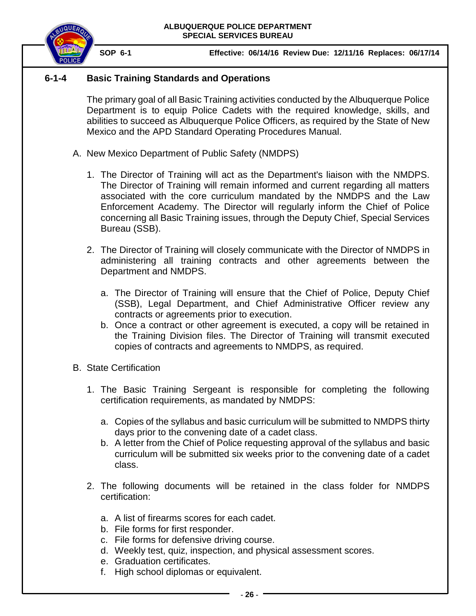

# **6-1-4 Basic Training Standards and Operations**

<span id="page-25-0"></span>The primary goal of all Basic Training activities conducted by the Albuquerque Police Department is to equip Police Cadets with the required knowledge, skills, and abilities to succeed as Albuquerque Police Officers, as required by the State of New Mexico and the APD Standard Operating Procedures Manual.

- <span id="page-25-1"></span>A. New Mexico Department of Public Safety (NMDPS)
	- 1. The Director of Training will act as the Department's liaison with the NMDPS. The Director of Training will remain informed and current regarding all matters associated with the core curriculum mandated by the NMDPS and the Law Enforcement Academy. The Director will regularly inform the Chief of Police concerning all Basic Training issues, through the Deputy Chief, Special Services Bureau (SSB).
	- 2. The Director of Training will closely communicate with the Director of NMDPS in administering all training contracts and other agreements between the Department and NMDPS.
		- a. The Director of Training will ensure that the Chief of Police, Deputy Chief (SSB), Legal Department, and Chief Administrative Officer review any contracts or agreements prior to execution.
		- b. Once a contract or other agreement is executed, a copy will be retained in the Training Division files. The Director of Training will transmit executed copies of contracts and agreements to NMDPS, as required.
- <span id="page-25-2"></span>B. State Certification
	- 1. The Basic Training Sergeant is responsible for completing the following certification requirements, as mandated by NMDPS:
		- a. Copies of the syllabus and basic curriculum will be submitted to NMDPS thirty days prior to the convening date of a cadet class.
		- b. A letter from the Chief of Police requesting approval of the syllabus and basic curriculum will be submitted six weeks prior to the convening date of a cadet class.
	- 2. The following documents will be retained in the class folder for NMDPS certification:
		- a. A list of firearms scores for each cadet.
		- b. File forms for first responder.
		- c. File forms for defensive driving course.
		- d. Weekly test, quiz, inspection, and physical assessment scores.
		- e. Graduation certificates.
		- f. High school diplomas or equivalent.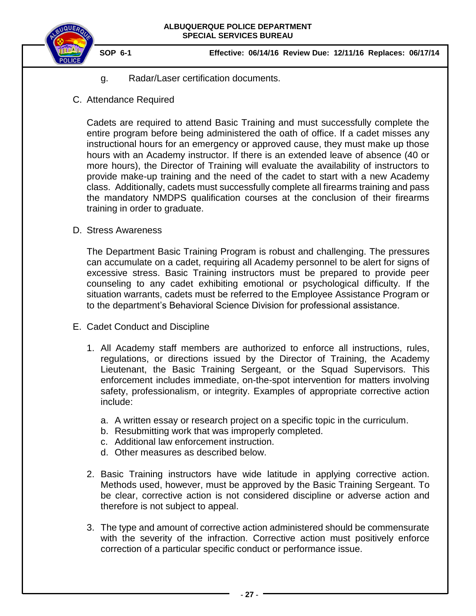

- g. Radar/Laser certification documents.
- <span id="page-26-0"></span>C. Attendance Required

Cadets are required to attend Basic Training and must successfully complete the entire program before being administered the oath of office. If a cadet misses any instructional hours for an emergency or approved cause, they must make up those hours with an Academy instructor. If there is an extended leave of absence (40 or more hours), the Director of Training will evaluate the availability of instructors to provide make-up training and the need of the cadet to start with a new Academy class. Additionally, cadets must successfully complete all firearms training and pass the mandatory NMDPS qualification courses at the conclusion of their firearms training in order to graduate.

<span id="page-26-1"></span>D. Stress Awareness

The Department Basic Training Program is robust and challenging. The pressures can accumulate on a cadet, requiring all Academy personnel to be alert for signs of excessive stress. Basic Training instructors must be prepared to provide peer counseling to any cadet exhibiting emotional or psychological difficulty. If the situation warrants, cadets must be referred to the Employee Assistance Program or to the department's Behavioral Science Division for professional assistance.

- <span id="page-26-2"></span>E. Cadet Conduct and Discipline
	- 1. All Academy staff members are authorized to enforce all instructions, rules, regulations, or directions issued by the Director of Training, the Academy Lieutenant, the Basic Training Sergeant, or the Squad Supervisors. This enforcement includes immediate, on-the-spot intervention for matters involving safety, professionalism, or integrity. Examples of appropriate corrective action include:
		- a. A written essay or research project on a specific topic in the curriculum.
		- b. Resubmitting work that was improperly completed.
		- c. Additional law enforcement instruction.
		- d. Other measures as described below.
	- 2. Basic Training instructors have wide latitude in applying corrective action. Methods used, however, must be approved by the Basic Training Sergeant. To be clear, corrective action is not considered discipline or adverse action and therefore is not subject to appeal.
	- 3. The type and amount of corrective action administered should be commensurate with the severity of the infraction. Corrective action must positively enforce correction of a particular specific conduct or performance issue.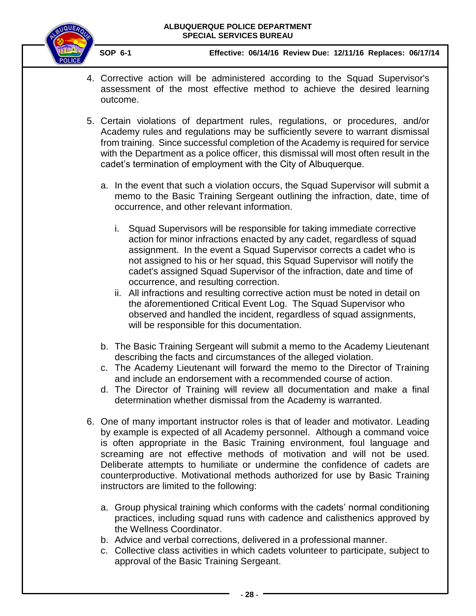

- 4. Corrective action will be administered according to the Squad Supervisor's assessment of the most effective method to achieve the desired learning outcome.
- 5. Certain violations of department rules, regulations, or procedures, and/or Academy rules and regulations may be sufficiently severe to warrant dismissal from training. Since successful completion of the Academy is required for service with the Department as a police officer, this dismissal will most often result in the cadet's termination of employment with the City of Albuquerque.
	- a. In the event that such a violation occurs, the Squad Supervisor will submit a memo to the Basic Training Sergeant outlining the infraction, date, time of occurrence, and other relevant information.
		- i. Squad Supervisors will be responsible for taking immediate corrective action for minor infractions enacted by any cadet, regardless of squad assignment. In the event a Squad Supervisor corrects a cadet who is not assigned to his or her squad, this Squad Supervisor will notify the cadet's assigned Squad Supervisor of the infraction, date and time of occurrence, and resulting correction.
		- ii. All infractions and resulting corrective action must be noted in detail on the aforementioned Critical Event Log. The Squad Supervisor who observed and handled the incident, regardless of squad assignments, will be responsible for this documentation.
	- b. The Basic Training Sergeant will submit a memo to the Academy Lieutenant describing the facts and circumstances of the alleged violation.
	- c. The Academy Lieutenant will forward the memo to the Director of Training and include an endorsement with a recommended course of action.
	- d. The Director of Training will review all documentation and make a final determination whether dismissal from the Academy is warranted.
- 6. One of many important instructor roles is that of leader and motivator. Leading by example is expected of all Academy personnel. Although a command voice is often appropriate in the Basic Training environment, foul language and screaming are not effective methods of motivation and will not be used. Deliberate attempts to humiliate or undermine the confidence of cadets are counterproductive. Motivational methods authorized for use by Basic Training instructors are limited to the following:
	- a. Group physical training which conforms with the cadets' normal conditioning practices, including squad runs with cadence and calisthenics approved by the Wellness Coordinator.
	- b. Advice and verbal corrections, delivered in a professional manner.
	- c. Collective class activities in which cadets volunteer to participate, subject to approval of the Basic Training Sergeant.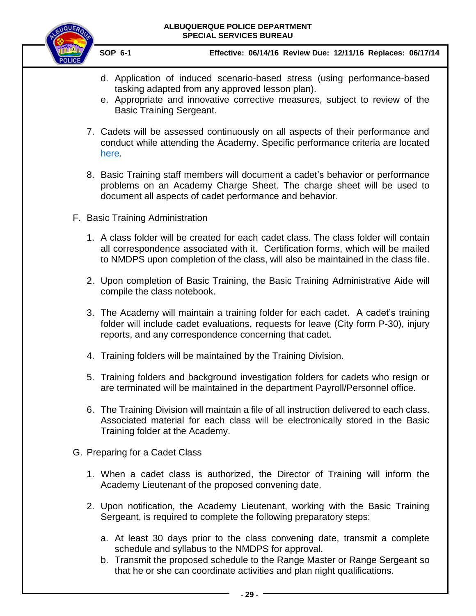

- d. Application of induced scenario-based stress (using performance-based tasking adapted from any approved lesson plan).
- e. Appropriate and innovative corrective measures, subject to review of the Basic Training Sergeant.
- 7. Cadets will be assessed continuously on all aspects of their performance and conduct while attending the Academy. Specific performance criteria are located [here.](#page-35-2)
- 8. Basic Training staff members will document a cadet's behavior or performance problems on an Academy Charge Sheet. The charge sheet will be used to document all aspects of cadet performance and behavior.
- <span id="page-28-2"></span><span id="page-28-0"></span>F. Basic Training Administration
	- 1. A class folder will be created for each cadet class. The class folder will contain all correspondence associated with it. Certification forms, which will be mailed to NMDPS upon completion of the class, will also be maintained in the class file.
	- 2. Upon completion of Basic Training, the Basic Training Administrative Aide will compile the class notebook.
	- 3. The Academy will maintain a training folder for each cadet. A cadet's training folder will include cadet evaluations, requests for leave (City form P-30), injury reports, and any correspondence concerning that cadet.
	- 4. Training folders will be maintained by the Training Division.
	- 5. Training folders and background investigation folders for cadets who resign or are terminated will be maintained in the department Payroll/Personnel office.
	- 6. The Training Division will maintain a file of all instruction delivered to each class. Associated material for each class will be electronically stored in the Basic Training folder at the Academy.
- <span id="page-28-1"></span>G. Preparing for a Cadet Class
	- 1. When a cadet class is authorized, the Director of Training will inform the Academy Lieutenant of the proposed convening date.
	- 2. Upon notification, the Academy Lieutenant, working with the Basic Training Sergeant, is required to complete the following preparatory steps:
		- a. At least 30 days prior to the class convening date, transmit a complete schedule and syllabus to the NMDPS for approval.
		- b. Transmit the proposed schedule to the Range Master or Range Sergeant so that he or she can coordinate activities and plan night qualifications.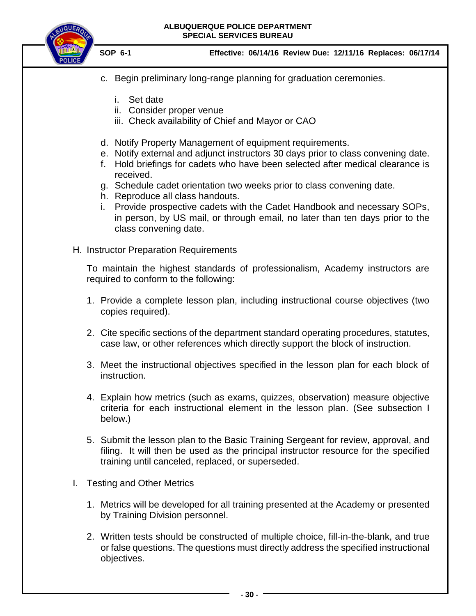

 **SOP 6-1 Effective: 06/14/16 Review Due: 12/11/16 Replaces: 06/17/14**

- c. Begin preliminary long-range planning for graduation ceremonies.
	- i. Set date
	- ii. Consider proper venue
	- iii. Check availability of Chief and Mayor or CAO
- d. Notify Property Management of equipment requirements.
- e. Notify external and adjunct instructors 30 days prior to class convening date.
- f. Hold briefings for cadets who have been selected after medical clearance is received.
- g. Schedule cadet orientation two weeks prior to class convening date.
- h. Reproduce all class handouts.
- i. Provide prospective cadets with the Cadet Handbook and necessary SOPs, in person, by US mail, or through email, no later than ten days prior to the class convening date.
- <span id="page-29-0"></span>H. Instructor Preparation Requirements

To maintain the highest standards of professionalism, Academy instructors are required to conform to the following:

- 1. Provide a complete lesson plan, including instructional course objectives (two copies required).
- 2. Cite specific sections of the department standard operating procedures, statutes, case law, or other references which directly support the block of instruction.
- 3. Meet the instructional objectives specified in the lesson plan for each block of instruction.
- 4. Explain how metrics (such as exams, quizzes, observation) measure objective criteria for each instructional element in the lesson plan. (See subsection I below.)
- 5. Submit the lesson plan to the Basic Training Sergeant for review, approval, and filing. It will then be used as the principal instructor resource for the specified training until canceled, replaced, or superseded.
- <span id="page-29-1"></span>I. Testing and Other Metrics
	- 1. Metrics will be developed for all training presented at the Academy or presented by Training Division personnel.
	- 2. Written tests should be constructed of multiple choice, fill-in-the-blank, and true or false questions. The questions must directly address the specified instructional objectives.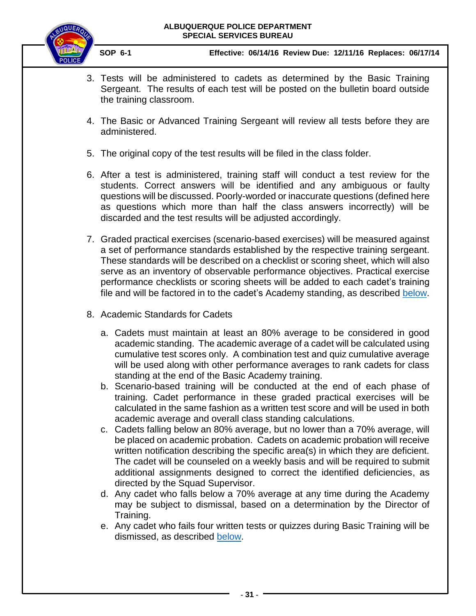

- 3. Tests will be administered to cadets as determined by the Basic Training Sergeant. The results of each test will be posted on the bulletin board outside the training classroom.
- 4. The Basic or Advanced Training Sergeant will review all tests before they are administered.
- 5. The original copy of the test results will be filed in the class folder.
- 6. After a test is administered, training staff will conduct a test review for the students. Correct answers will be identified and any ambiguous or faulty questions will be discussed. Poorly-worded or inaccurate questions (defined here as questions which more than half the class answers incorrectly) will be discarded and the test results will be adjusted accordingly.
- 7. Graded practical exercises (scenario-based exercises) will be measured against a set of performance standards established by the respective training sergeant. These standards will be described on a checklist or scoring sheet, which will also serve as an inventory of observable performance objectives. Practical exercise performance checklists or scoring sheets will be added to each cadet's training file and will be factored in to the cadet's Academy standing, as described [below.](#page-44-1)
- 8. Academic Standards for Cadets
	- a. Cadets must maintain at least an 80% average to be considered in good academic standing. The academic average of a cadet will be calculated using cumulative test scores only. A combination test and quiz cumulative average will be used along with other performance averages to rank cadets for class standing at the end of the Basic Academy training.
	- b. Scenario-based training will be conducted at the end of each phase of training. Cadet performance in these graded practical exercises will be calculated in the same fashion as a written test score and will be used in both academic average and overall class standing calculations.
	- c. Cadets falling below an 80% average, but no lower than a 70% average, will be placed on academic probation. Cadets on academic probation will receive written notification describing the specific area(s) in which they are deficient. The cadet will be counseled on a weekly basis and will be required to submit additional assignments designed to correct the identified deficiencies, as directed by the Squad Supervisor.
	- d. Any cadet who falls below a 70% average at any time during the Academy may be subject to dismissal, based on a determination by the Director of Training.
	- e. Any cadet who fails four written tests or quizzes during Basic Training will be dismissed, as described [below.](#page-41-0)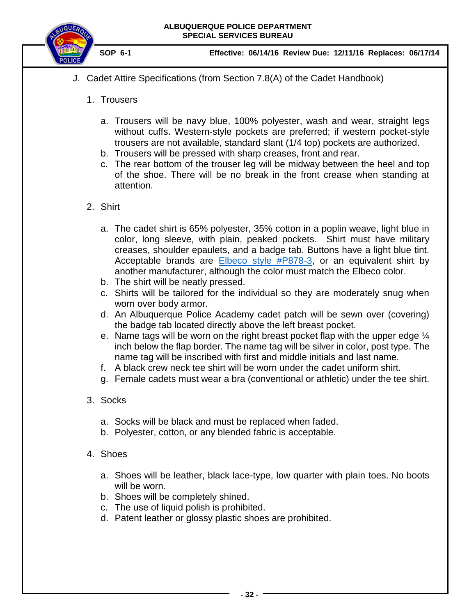

- <span id="page-31-0"></span>J. Cadet Attire Specifications (from Section 7.8(A) of the Cadet Handbook)
	- 1. Trousers
		- a. Trousers will be navy blue, 100% polyester, wash and wear, straight legs without cuffs. Western-style pockets are preferred; if western pocket-style trousers are not available, standard slant (1/4 top) pockets are authorized.
		- b. Trousers will be pressed with sharp creases, front and rear.
		- c. The rear bottom of the trouser leg will be midway between the heel and top of the shoe. There will be no break in the front crease when standing at attention.
	- 2. Shirt
		- a. The cadet shirt is 65% polyester, 35% cotton in a poplin weave, light blue in color, long sleeve, with plain, peaked pockets. Shirt must have military creases, shoulder epaulets, and a badge tab. Buttons have a light blue tint. Acceptable brands are [Elbeco style #P878-3,](http://elbeco.com/product/checkpointe-poplin-long-sleeve-shirts/) or an equivalent shirt by another manufacturer, although the color must match the Elbeco color.
		- b. The shirt will be neatly pressed.
		- c. Shirts will be tailored for the individual so they are moderately snug when worn over body armor.
		- d. An Albuquerque Police Academy cadet patch will be sewn over (covering) the badge tab located directly above the left breast pocket.
		- e. Name tags will be worn on the right breast pocket flap with the upper edge ¼ inch below the flap border. The name tag will be silver in color, post type. The name tag will be inscribed with first and middle initials and last name.
		- f. A black crew neck tee shirt will be worn under the cadet uniform shirt.
		- g. Female cadets must wear a bra (conventional or athletic) under the tee shirt.
	- 3. Socks
		- a. Socks will be black and must be replaced when faded.
		- b. Polyester, cotton, or any blended fabric is acceptable.
	- 4. Shoes
		- a. Shoes will be leather, black lace-type, low quarter with plain toes. No boots will be worn.
		- b. Shoes will be completely shined.
		- c. The use of liquid polish is prohibited.
		- d. Patent leather or glossy plastic shoes are prohibited.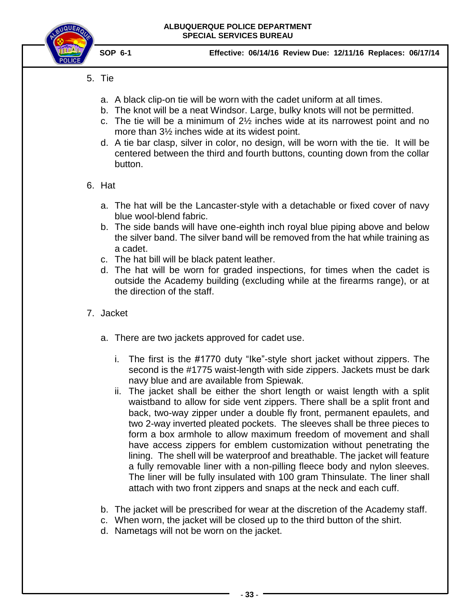

- 5. Tie
	- a. A black clip-on tie will be worn with the cadet uniform at all times.
	- b. The knot will be a neat Windsor. Large, bulky knots will not be permitted.
	- c. The tie will be a minimum of 2½ inches wide at its narrowest point and no more than 3½ inches wide at its widest point.
	- d. A tie bar clasp, silver in color, no design, will be worn with the tie. It will be centered between the third and fourth buttons, counting down from the collar button.
- 6. Hat
	- a. The hat will be the Lancaster-style with a detachable or fixed cover of navy blue wool-blend fabric.
	- b. The side bands will have one-eighth inch royal blue piping above and below the silver band. The silver band will be removed from the hat while training as a cadet.
	- c. The hat bill will be black patent leather.
	- d. The hat will be worn for graded inspections, for times when the cadet is outside the Academy building (excluding while at the firearms range), or at the direction of the staff.
- 7. Jacket
	- a. There are two jackets approved for cadet use.
		- i. The first is the #1770 duty "Ike"-style short jacket without zippers. The second is the #1775 waist-length with side zippers. Jackets must be dark navy blue and are available from Spiewak.
		- ii. The jacket shall be either the short length or waist length with a split waistband to allow for side vent zippers. There shall be a split front and back, two-way zipper under a double fly front, permanent epaulets, and two 2-way inverted pleated pockets. The sleeves shall be three pieces to form a box armhole to allow maximum freedom of movement and shall have access zippers for emblem customization without penetrating the lining. The shell will be waterproof and breathable. The jacket will feature a fully removable liner with a non-pilling fleece body and nylon sleeves. The liner will be fully insulated with 100 gram Thinsulate. The liner shall attach with two front zippers and snaps at the neck and each cuff.
	- b. The jacket will be prescribed for wear at the discretion of the Academy staff.
	- c. When worn, the jacket will be closed up to the third button of the shirt.
	- d. Nametags will not be worn on the jacket.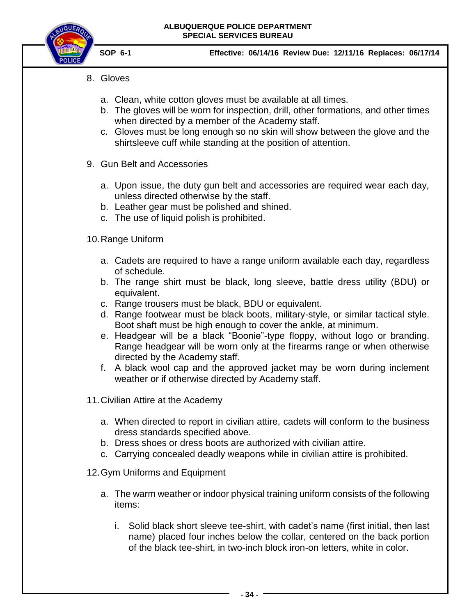

- 8. Gloves
	- a. Clean, white cotton gloves must be available at all times.
	- b. The gloves will be worn for inspection, drill, other formations, and other times when directed by a member of the Academy staff.
	- c. Gloves must be long enough so no skin will show between the glove and the shirtsleeve cuff while standing at the position of attention.
- 9. Gun Belt and Accessories
	- a. Upon issue, the duty gun belt and accessories are required wear each day, unless directed otherwise by the staff.
	- b. Leather gear must be polished and shined.
	- c. The use of liquid polish is prohibited.

# 10.Range Uniform

- a. Cadets are required to have a range uniform available each day, regardless of schedule.
- b. The range shirt must be black, long sleeve, battle dress utility (BDU) or equivalent.
- c. Range trousers must be black, BDU or equivalent.
- d. Range footwear must be black boots, military-style, or similar tactical style. Boot shaft must be high enough to cover the ankle, at minimum.
- e. Headgear will be a black "Boonie"-type floppy, without logo or branding. Range headgear will be worn only at the firearms range or when otherwise directed by the Academy staff.
- f. A black wool cap and the approved jacket may be worn during inclement weather or if otherwise directed by Academy staff.
- 11.Civilian Attire at the Academy
	- a. When directed to report in civilian attire, cadets will conform to the business dress standards specified above.
	- b. Dress shoes or dress boots are authorized with civilian attire.
	- c. Carrying concealed deadly weapons while in civilian attire is prohibited.
- 12.Gym Uniforms and Equipment
	- a. The warm weather or indoor physical training uniform consists of the following items:
		- i. Solid black short sleeve tee-shirt, with cadet's name (first initial, then last name) placed four inches below the collar, centered on the back portion of the black tee-shirt, in two-inch block iron-on letters, white in color.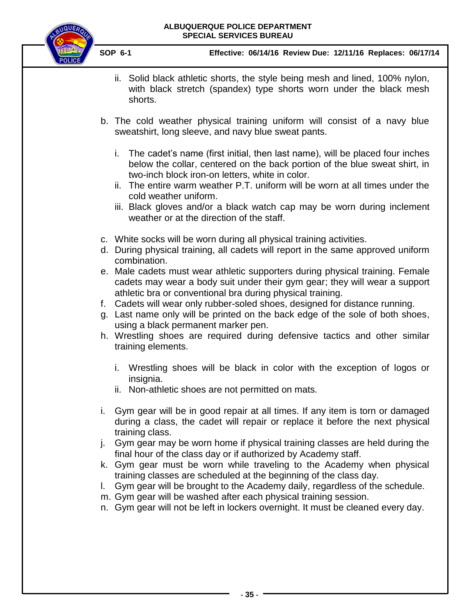

- ii. Solid black athletic shorts, the style being mesh and lined, 100% nylon, with black stretch (spandex) type shorts worn under the black mesh shorts.
- b. The cold weather physical training uniform will consist of a navy blue sweatshirt, long sleeve, and navy blue sweat pants.
	- i. The cadet's name (first initial, then last name), will be placed four inches below the collar, centered on the back portion of the blue sweat shirt, in two-inch block iron-on letters, white in color.
	- ii. The entire warm weather P.T. uniform will be worn at all times under the cold weather uniform.
	- iii. Black gloves and/or a black watch cap may be worn during inclement weather or at the direction of the staff.
- c. White socks will be worn during all physical training activities.
- d. During physical training, all cadets will report in the same approved uniform combination.
- e. Male cadets must wear athletic supporters during physical training. Female cadets may wear a body suit under their gym gear; they will wear a support athletic bra or conventional bra during physical training.
- f. Cadets will wear only rubber-soled shoes, designed for distance running.
- g. Last name only will be printed on the back edge of the sole of both shoes, using a black permanent marker pen.
- h. Wrestling shoes are required during defensive tactics and other similar training elements.
	- i. Wrestling shoes will be black in color with the exception of logos or insignia.
	- ii. Non-athletic shoes are not permitted on mats.
- i. Gym gear will be in good repair at all times. If any item is torn or damaged during a class, the cadet will repair or replace it before the next physical training class.
- j. Gym gear may be worn home if physical training classes are held during the final hour of the class day or if authorized by Academy staff.
- k. Gym gear must be worn while traveling to the Academy when physical training classes are scheduled at the beginning of the class day.
- l. Gym gear will be brought to the Academy daily, regardless of the schedule.
- m. Gym gear will be washed after each physical training session.
- n. Gym gear will not be left in lockers overnight. It must be cleaned every day.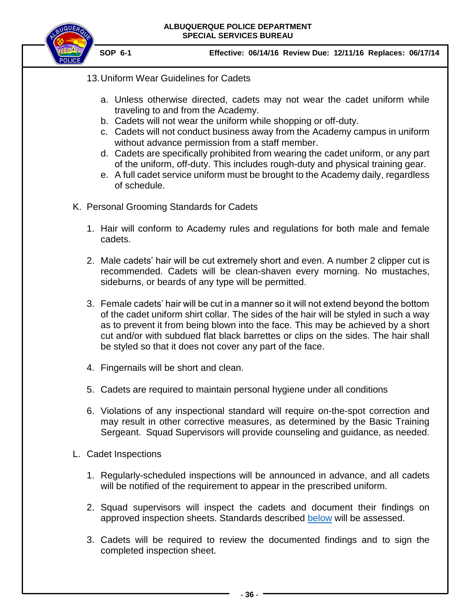

- 13.Uniform Wear Guidelines for Cadets
	- a. Unless otherwise directed, cadets may not wear the cadet uniform while traveling to and from the Academy.
	- b. Cadets will not wear the uniform while shopping or off-duty.
	- c. Cadets will not conduct business away from the Academy campus in uniform without advance permission from a staff member.
	- d. Cadets are specifically prohibited from wearing the cadet uniform, or any part of the uniform, off-duty. This includes rough-duty and physical training gear.
	- e. A full cadet service uniform must be brought to the Academy daily, regardless of schedule.
- <span id="page-35-0"></span>K. Personal Grooming Standards for Cadets
	- 1. Hair will conform to Academy rules and regulations for both male and female cadets.
	- 2. Male cadets' hair will be cut extremely short and even. A number 2 clipper cut is recommended. Cadets will be clean-shaven every morning. No mustaches, sideburns, or beards of any type will be permitted.
	- 3. Female cadets' hair will be cut in a manner so it will not extend beyond the bottom of the cadet uniform shirt collar. The sides of the hair will be styled in such a way as to prevent it from being blown into the face. This may be achieved by a short cut and/or with subdued flat black barrettes or clips on the sides. The hair shall be styled so that it does not cover any part of the face.
	- 4. Fingernails will be short and clean.
	- 5. Cadets are required to maintain personal hygiene under all conditions
	- 6. Violations of any inspectional standard will require on-the-spot correction and may result in other corrective measures, as determined by the Basic Training Sergeant. Squad Supervisors will provide counseling and guidance, as needed.
- <span id="page-35-2"></span><span id="page-35-1"></span>L. Cadet Inspections
	- 1. Regularly-scheduled inspections will be announced in advance, and all cadets will be notified of the requirement to appear in the prescribed uniform.
	- 2. Squad supervisors will inspect the cadets and document their findings on approved inspection sheets. Standards described [below](#page-35-2) will be assessed.
	- 3. Cadets will be required to review the documented findings and to sign the completed inspection sheet.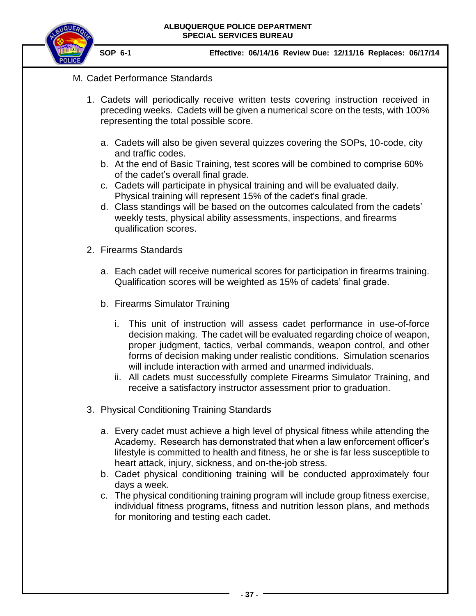

- M. Cadet Performance Standards
	- 1. Cadets will periodically receive written tests covering instruction received in preceding weeks. Cadets will be given a numerical score on the tests, with 100% representing the total possible score.
		- a. Cadets will also be given several quizzes covering the SOPs, 10-code, city and traffic codes.
		- b. At the end of Basic Training, test scores will be combined to comprise 60% of the cadet's overall final grade.
		- c. Cadets will participate in physical training and will be evaluated daily. Physical training will represent 15% of the cadet's final grade.
		- d. Class standings will be based on the outcomes calculated from the cadets' weekly tests, physical ability assessments, inspections, and firearms qualification scores.
	- 2. Firearms Standards
		- a. Each cadet will receive numerical scores for participation in firearms training. Qualification scores will be weighted as 15% of cadets' final grade.
		- b. Firearms Simulator Training
			- i. This unit of instruction will assess cadet performance in use-of-force decision making. The cadet will be evaluated regarding choice of weapon, proper judgment, tactics, verbal commands, weapon control, and other forms of decision making under realistic conditions. Simulation scenarios will include interaction with armed and unarmed individuals.
			- ii. All cadets must successfully complete Firearms Simulator Training, and receive a satisfactory instructor assessment prior to graduation.
	- 3. Physical Conditioning Training Standards
		- a. Every cadet must achieve a high level of physical fitness while attending the Academy. Research has demonstrated that when a law enforcement officer's lifestyle is committed to health and fitness, he or she is far less susceptible to heart attack, injury, sickness, and on-the-job stress.
		- b. Cadet physical conditioning training will be conducted approximately four days a week.
		- c. The physical conditioning training program will include group fitness exercise, individual fitness programs, fitness and nutrition lesson plans, and methods for monitoring and testing each cadet.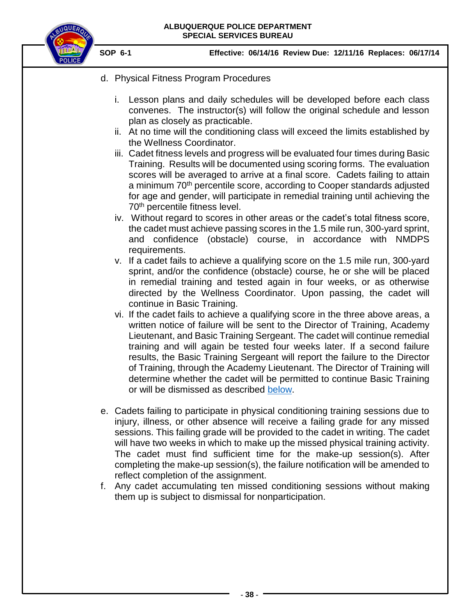

- d. Physical Fitness Program Procedures
	- i. Lesson plans and daily schedules will be developed before each class convenes. The instructor(s) will follow the original schedule and lesson plan as closely as practicable.
	- ii. At no time will the conditioning class will exceed the limits established by the Wellness Coordinator.
	- iii. Cadet fitness levels and progress will be evaluated four times during Basic Training. Results will be documented using scoring forms. The evaluation scores will be averaged to arrive at a final score. Cadets failing to attain a minimum 70<sup>th</sup> percentile score, according to Cooper standards adjusted for age and gender, will participate in remedial training until achieving the 70<sup>th</sup> percentile fitness level.
	- iv. Without regard to scores in other areas or the cadet's total fitness score, the cadet must achieve passing scores in the 1.5 mile run, 300-yard sprint, and confidence (obstacle) course, in accordance with NMDPS requirements.
	- v. If a cadet fails to achieve a qualifying score on the 1.5 mile run, 300-yard sprint, and/or the confidence (obstacle) course, he or she will be placed in remedial training and tested again in four weeks, or as otherwise directed by the Wellness Coordinator. Upon passing, the cadet will continue in Basic Training.
	- vi. If the cadet fails to achieve a qualifying score in the three above areas, a written notice of failure will be sent to the Director of Training, Academy Lieutenant, and Basic Training Sergeant. The cadet will continue remedial training and will again be tested four weeks later. If a second failure results, the Basic Training Sergeant will report the failure to the Director of Training, through the Academy Lieutenant. The Director of Training will determine whether the cadet will be permitted to continue Basic Training or will be dismissed as described [below.](#page-41-0)
- e. Cadets failing to participate in physical conditioning training sessions due to injury, illness, or other absence will receive a failing grade for any missed sessions. This failing grade will be provided to the cadet in writing. The cadet will have two weeks in which to make up the missed physical training activity. The cadet must find sufficient time for the make-up session(s). After completing the make-up session(s), the failure notification will be amended to reflect completion of the assignment.
- f. Any cadet accumulating ten missed conditioning sessions without making them up is subject to dismissal for nonparticipation.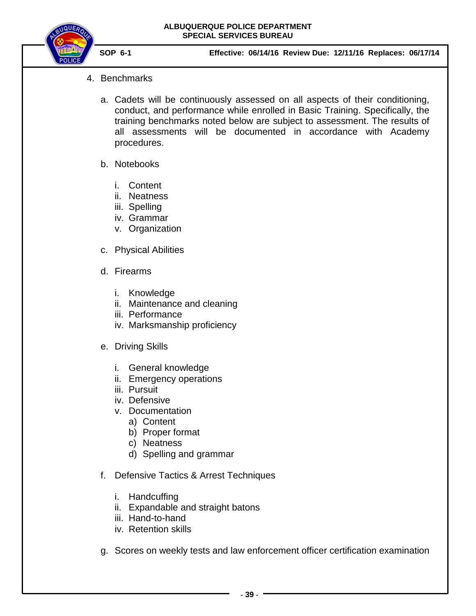

- 4. Benchmarks
	- a. Cadets will be continuously assessed on all aspects of their conditioning, conduct, and performance while enrolled in Basic Training. Specifically, the training benchmarks noted below are subject to assessment. The results of all assessments will be documented in accordance with Academy procedures.
	- b. Notebooks
		- i. Content
		- ii. Neatness
		- iii. Spelling
		- iv. Grammar
		- v. Organization
	- c. Physical Abilities
	- d. Firearms
		- i. Knowledge
		- ii. Maintenance and cleaning
		- iii. Performance
		- iv. Marksmanship proficiency
	- e. Driving Skills
		- i. General knowledge
		- ii. Emergency operations
		- iii. Pursuit
		- iv. Defensive
		- v. Documentation
			- a) Content
			- b) Proper format
			- c) Neatness
			- d) Spelling and grammar
	- f. Defensive Tactics & Arrest Techniques
		- i. Handcuffing
		- ii. Expandable and straight batons
		- iii. Hand-to-hand
		- iv. Retention skills
	- g. Scores on weekly tests and law enforcement officer certification examination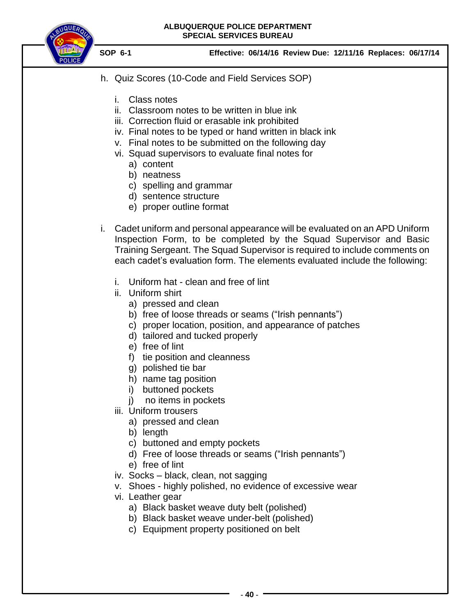

- h. Quiz Scores (10-Code and Field Services SOP)
	- i. Class notes
	- ii. Classroom notes to be written in blue ink
	- iii. Correction fluid or erasable ink prohibited
	- iv. Final notes to be typed or hand written in black ink
	- v. Final notes to be submitted on the following day
	- vi. Squad supervisors to evaluate final notes for
		- a) content
		- b) neatness
		- c) spelling and grammar
		- d) sentence structure
		- e) proper outline format
- i. Cadet uniform and personal appearance will be evaluated on an APD Uniform Inspection Form, to be completed by the Squad Supervisor and Basic Training Sergeant. The Squad Supervisor is required to include comments on each cadet's evaluation form. The elements evaluated include the following:
	- i. Uniform hat clean and free of lint
	- ii. Uniform shirt
		- a) pressed and clean
		- b) free of loose threads or seams ("Irish pennants")
		- c) proper location, position, and appearance of patches
		- d) tailored and tucked properly
		- e) free of lint
		- f) tie position and cleanness
		- g) polished tie bar
		- h) name tag position
		- i) buttoned pockets
		- j) no items in pockets
	- iii. Uniform trousers
		- a) pressed and clean
		- b) length
		- c) buttoned and empty pockets
		- d) Free of loose threads or seams ("Irish pennants")
		- e) free of lint
	- iv. Socks black, clean, not sagging
	- v. Shoes highly polished, no evidence of excessive wear
	- vi. Leather gear
		- a) Black basket weave duty belt (polished)
		- b) Black basket weave under-belt (polished)
		- c) Equipment property positioned on belt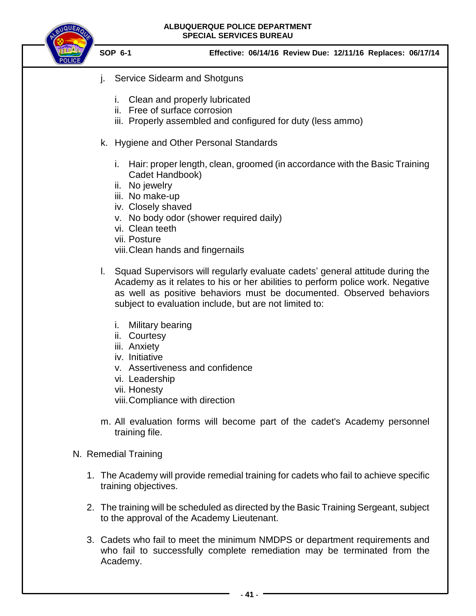

- j. Service Sidearm and Shotguns
	- i. Clean and properly lubricated
	- ii. Free of surface corrosion
	- iii. Properly assembled and configured for duty (less ammo)
- k. Hygiene and Other Personal Standards
	- i. Hair: proper length, clean, groomed (in accordance with the Basic Training Cadet Handbook)
	- ii. No jewelry
	- iii. No make-up
	- iv. Closely shaved
	- v. No body odor (shower required daily)
	- vi. Clean teeth
	- vii. Posture
	- viii.Clean hands and fingernails
- l. Squad Supervisors will regularly evaluate cadets' general attitude during the Academy as it relates to his or her abilities to perform police work. Negative as well as positive behaviors must be documented. Observed behaviors subject to evaluation include, but are not limited to:
	- i. Military bearing
	- ii. Courtesy
	- iii. Anxiety
	- iv. Initiative
	- v. Assertiveness and confidence
	- vi. Leadership
	- vii. Honesty
	- viii.Compliance with direction
- m. All evaluation forms will become part of the cadet's Academy personnel training file.
- <span id="page-40-0"></span>N. Remedial Training
	- 1. The Academy will provide remedial training for cadets who fail to achieve specific training objectives.
	- 2. The training will be scheduled as directed by the Basic Training Sergeant, subject to the approval of the Academy Lieutenant.
	- 3. Cadets who fail to meet the minimum NMDPS or department requirements and who fail to successfully complete remediation may be terminated from the Academy.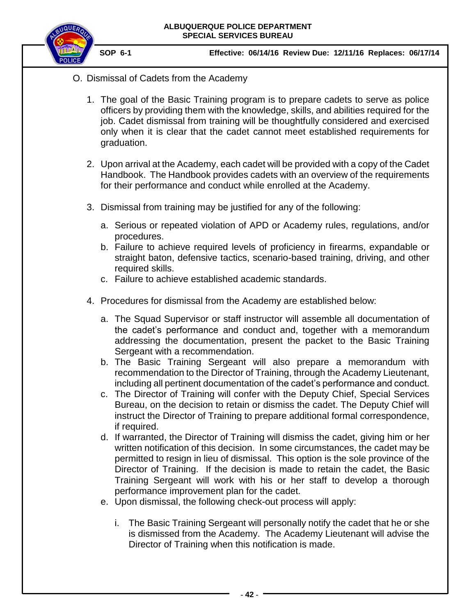

- <span id="page-41-0"></span>O. Dismissal of Cadets from the Academy
	- 1. The goal of the Basic Training program is to prepare cadets to serve as police officers by providing them with the knowledge, skills, and abilities required for the job. Cadet dismissal from training will be thoughtfully considered and exercised only when it is clear that the cadet cannot meet established requirements for graduation.
	- 2. Upon arrival at the Academy, each cadet will be provided with a copy of the Cadet Handbook. The Handbook provides cadets with an overview of the requirements for their performance and conduct while enrolled at the Academy.
	- 3. Dismissal from training may be justified for any of the following:
		- a. Serious or repeated violation of APD or Academy rules, regulations, and/or procedures.
		- b. Failure to achieve required levels of proficiency in firearms, expandable or straight baton, defensive tactics, scenario-based training, driving, and other required skills.
		- c. Failure to achieve established academic standards.
	- 4. Procedures for dismissal from the Academy are established below:
		- a. The Squad Supervisor or staff instructor will assemble all documentation of the cadet's performance and conduct and, together with a memorandum addressing the documentation, present the packet to the Basic Training Sergeant with a recommendation.
		- b. The Basic Training Sergeant will also prepare a memorandum with recommendation to the Director of Training, through the Academy Lieutenant, including all pertinent documentation of the cadet's performance and conduct.
		- c. The Director of Training will confer with the Deputy Chief, Special Services Bureau, on the decision to retain or dismiss the cadet. The Deputy Chief will instruct the Director of Training to prepare additional formal correspondence, if required.
		- d. If warranted, the Director of Training will dismiss the cadet, giving him or her written notification of this decision. In some circumstances, the cadet may be permitted to resign in lieu of dismissal. This option is the sole province of the Director of Training. If the decision is made to retain the cadet, the Basic Training Sergeant will work with his or her staff to develop a thorough performance improvement plan for the cadet.
		- e. Upon dismissal, the following check-out process will apply:
			- i. The Basic Training Sergeant will personally notify the cadet that he or she is dismissed from the Academy. The Academy Lieutenant will advise the Director of Training when this notification is made.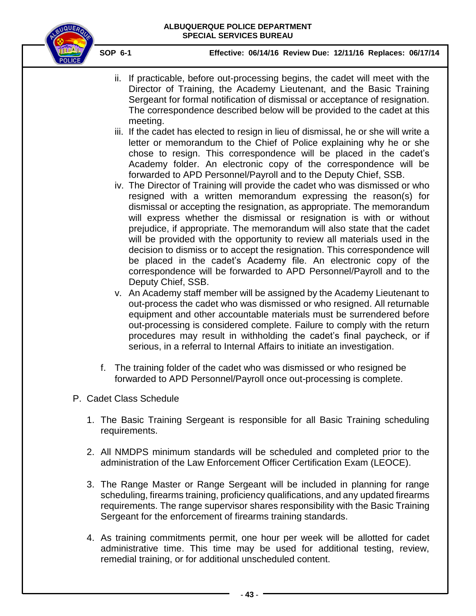

- ii. If practicable, before out-processing begins, the cadet will meet with the Director of Training, the Academy Lieutenant, and the Basic Training Sergeant for formal notification of dismissal or acceptance of resignation. The correspondence described below will be provided to the cadet at this meeting.
- iii. If the cadet has elected to resign in lieu of dismissal, he or she will write a letter or memorandum to the Chief of Police explaining why he or she chose to resign. This correspondence will be placed in the cadet's Academy folder. An electronic copy of the correspondence will be forwarded to APD Personnel/Payroll and to the Deputy Chief, SSB.
- iv. The Director of Training will provide the cadet who was dismissed or who resigned with a written memorandum expressing the reason(s) for dismissal or accepting the resignation, as appropriate. The memorandum will express whether the dismissal or resignation is with or without prejudice, if appropriate. The memorandum will also state that the cadet will be provided with the opportunity to review all materials used in the decision to dismiss or to accept the resignation. This correspondence will be placed in the cadet's Academy file. An electronic copy of the correspondence will be forwarded to APD Personnel/Payroll and to the Deputy Chief, SSB.
- v. An Academy staff member will be assigned by the Academy Lieutenant to out-process the cadet who was dismissed or who resigned. All returnable equipment and other accountable materials must be surrendered before out-processing is considered complete. Failure to comply with the return procedures may result in withholding the cadet's final paycheck, or if serious, in a referral to Internal Affairs to initiate an investigation.
- f. The training folder of the cadet who was dismissed or who resigned be forwarded to APD Personnel/Payroll once out-processing is complete.
- <span id="page-42-0"></span>P. Cadet Class Schedule
	- 1. The Basic Training Sergeant is responsible for all Basic Training scheduling requirements.
	- 2. All NMDPS minimum standards will be scheduled and completed prior to the administration of the Law Enforcement Officer Certification Exam (LEOCE).
	- 3. The Range Master or Range Sergeant will be included in planning for range scheduling, firearms training, proficiency qualifications, and any updated firearms requirements. The range supervisor shares responsibility with the Basic Training Sergeant for the enforcement of firearms training standards.
	- 4. As training commitments permit, one hour per week will be allotted for cadet administrative time. This time may be used for additional testing, review, remedial training, or for additional unscheduled content.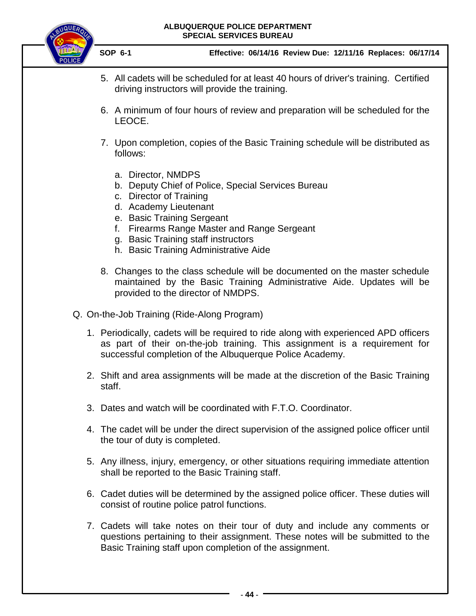

- 5. All cadets will be scheduled for at least 40 hours of driver's training. Certified driving instructors will provide the training.
- 6. A minimum of four hours of review and preparation will be scheduled for the LEOCE.
- 7. Upon completion, copies of the Basic Training schedule will be distributed as follows:
	- a. Director, NMDPS
	- b. Deputy Chief of Police, Special Services Bureau
	- c. Director of Training
	- d. Academy Lieutenant
	- e. Basic Training Sergeant
	- f. Firearms Range Master and Range Sergeant
	- g. Basic Training staff instructors
	- h. Basic Training Administrative Aide
- 8. Changes to the class schedule will be documented on the master schedule maintained by the Basic Training Administrative Aide. Updates will be provided to the director of NMDPS.
- <span id="page-43-0"></span>Q. On-the-Job Training (Ride-Along Program)
	- 1. Periodically, cadets will be required to ride along with experienced APD officers as part of their on-the-job training. This assignment is a requirement for successful completion of the Albuquerque Police Academy.
	- 2. Shift and area assignments will be made at the discretion of the Basic Training staff.
	- 3. Dates and watch will be coordinated with F.T.O. Coordinator.
	- 4. The cadet will be under the direct supervision of the assigned police officer until the tour of duty is completed.
	- 5. Any illness, injury, emergency, or other situations requiring immediate attention shall be reported to the Basic Training staff.
	- 6. Cadet duties will be determined by the assigned police officer. These duties will consist of routine police patrol functions.
	- 7. Cadets will take notes on their tour of duty and include any comments or questions pertaining to their assignment. These notes will be submitted to the Basic Training staff upon completion of the assignment.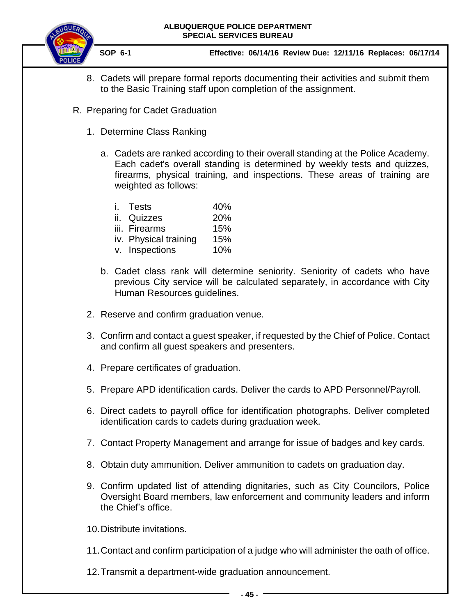

 **SOP 6-1 Effective: 06/14/16 Review Due: 12/11/16 Replaces: 06/17/14**

- 8. Cadets will prepare formal reports documenting their activities and submit them to the Basic Training staff upon completion of the assignment.
- <span id="page-44-1"></span><span id="page-44-0"></span>R. Preparing for Cadet Graduation
	- 1. Determine Class Ranking
		- a. Cadets are ranked according to their overall standing at the Police Academy. Each cadet's overall standing is determined by weekly tests and quizzes, firearms, physical training, and inspections. These areas of training are weighted as follows:

| i. Tests              | 40% |
|-----------------------|-----|
| ii. Quizzes           | 20% |
| iii. Firearms         | 15% |
| iv. Physical training | 15% |
| v. Inspections        | 10% |

- b. Cadet class rank will determine seniority. Seniority of cadets who have previous City service will be calculated separately, in accordance with City Human Resources guidelines.
- 2. Reserve and confirm graduation venue.
- 3. Confirm and contact a guest speaker, if requested by the Chief of Police. Contact and confirm all guest speakers and presenters.
- 4. Prepare certificates of graduation.
- 5. Prepare APD identification cards. Deliver the cards to APD Personnel/Payroll.
- 6. Direct cadets to payroll office for identification photographs. Deliver completed identification cards to cadets during graduation week.
- 7. Contact Property Management and arrange for issue of badges and key cards.
- 8. Obtain duty ammunition. Deliver ammunition to cadets on graduation day.
- 9. Confirm updated list of attending dignitaries, such as City Councilors, Police Oversight Board members, law enforcement and community leaders and inform the Chief's office.

10.Distribute invitations.

11.Contact and confirm participation of a judge who will administer the oath of office.

12.Transmit a department-wide graduation announcement.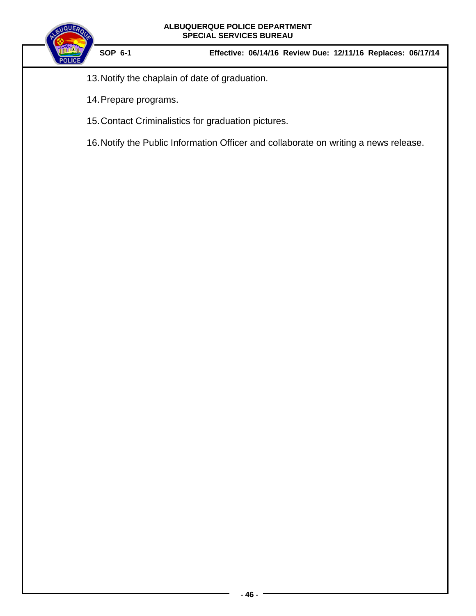

- 13.Notify the chaplain of date of graduation.
- 14.Prepare programs.
- 15.Contact Criminalistics for graduation pictures.
- 16.Notify the Public Information Officer and collaborate on writing a news release.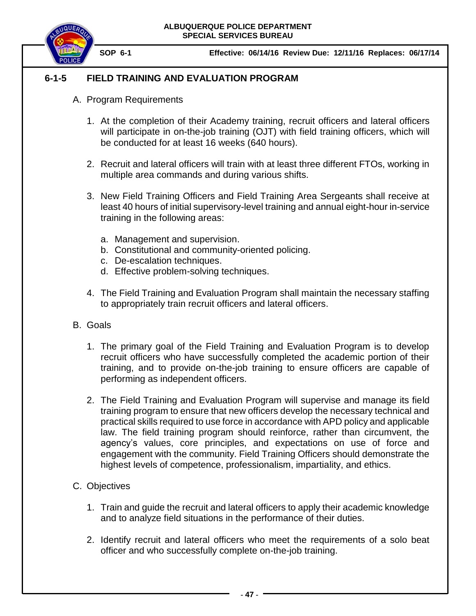

# <span id="page-46-1"></span>**6-1-5 FIELD TRAINING AND EVALUATION PROGRAM**

- <span id="page-46-0"></span>A. Program Requirements
	- 1. At the completion of their Academy training, recruit officers and lateral officers will participate in on-the-job training (OJT) with field training officers, which will be conducted for at least 16 weeks (640 hours).
	- 2. Recruit and lateral officers will train with at least three different FTOs, working in multiple area commands and during various shifts.
	- 3. New Field Training Officers and Field Training Area Sergeants shall receive at least 40 hours of initial supervisory-level training and annual eight-hour in-service training in the following areas:
		- a. Management and supervision.
		- b. Constitutional and community-oriented policing.
		- c. De-escalation techniques.
		- d. Effective problem-solving techniques.
	- 4. The Field Training and Evaluation Program shall maintain the necessary staffing to appropriately train recruit officers and lateral officers.
- <span id="page-46-2"></span>B. Goals
	- 1. The primary goal of the Field Training and Evaluation Program is to develop recruit officers who have successfully completed the academic portion of their training, and to provide on-the-job training to ensure officers are capable of performing as independent officers.
	- 2. The Field Training and Evaluation Program will supervise and manage its field training program to ensure that new officers develop the necessary technical and practical skills required to use force in accordance with APD policy and applicable law. The field training program should reinforce, rather than circumvent, the agency's values, core principles, and expectations on use of force and engagement with the community. Field Training Officers should demonstrate the highest levels of competence, professionalism, impartiality, and ethics.
- <span id="page-46-3"></span>C. Objectives
	- 1. Train and guide the recruit and lateral officers to apply their academic knowledge and to analyze field situations in the performance of their duties.
	- 2. Identify recruit and lateral officers who meet the requirements of a solo beat officer and who successfully complete on-the-job training.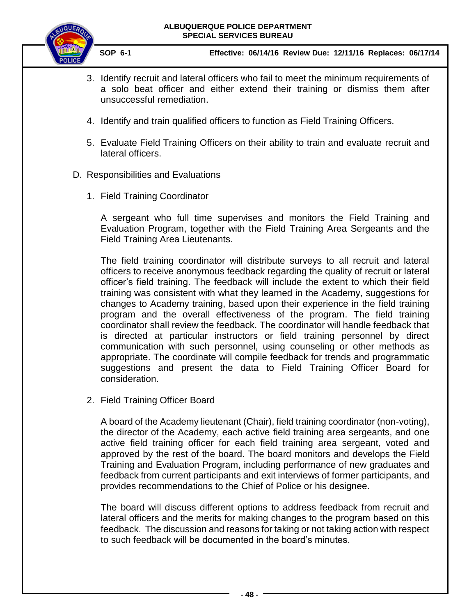

 **SOP 6-1 Effective: 06/14/16 Review Due: 12/11/16 Replaces: 06/17/14**

- 3. Identify recruit and lateral officers who fail to meet the minimum requirements of a solo beat officer and either extend their training or dismiss them after unsuccessful remediation.
- 4. Identify and train qualified officers to function as Field Training Officers.
- 5. Evaluate Field Training Officers on their ability to train and evaluate recruit and lateral officers.
- <span id="page-47-0"></span>D. Responsibilities and Evaluations
	- 1. Field Training Coordinator

A sergeant who full time supervises and monitors the Field Training and Evaluation Program, together with the Field Training Area Sergeants and the Field Training Area Lieutenants.

The field training coordinator will distribute surveys to all recruit and lateral officers to receive anonymous feedback regarding the quality of recruit or lateral officer's field training. The feedback will include the extent to which their field training was consistent with what they learned in the Academy, suggestions for changes to Academy training, based upon their experience in the field training program and the overall effectiveness of the program. The field training coordinator shall review the feedback. The coordinator will handle feedback that is directed at particular instructors or field training personnel by direct communication with such personnel, using counseling or other methods as appropriate. The coordinate will compile feedback for trends and programmatic suggestions and present the data to Field Training Officer Board for consideration.

2. Field Training Officer Board

A board of the Academy lieutenant (Chair), field training coordinator (non-voting), the director of the Academy, each active field training area sergeants, and one active field training officer for each field training area sergeant, voted and approved by the rest of the board. The board monitors and develops the Field Training and Evaluation Program, including performance of new graduates and feedback from current participants and exit interviews of former participants, and provides recommendations to the Chief of Police or his designee.

The board will discuss different options to address feedback from recruit and lateral officers and the merits for making changes to the program based on this feedback. The discussion and reasons for taking or not taking action with respect to such feedback will be documented in the board's minutes.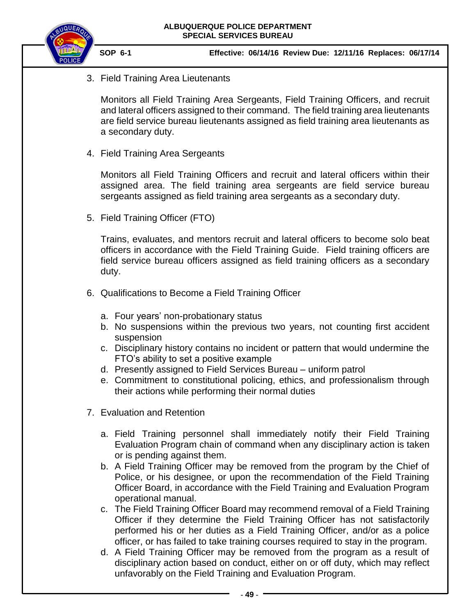

3. Field Training Area Lieutenants

Monitors all Field Training Area Sergeants, Field Training Officers, and recruit and lateral officers assigned to their command. The field training area lieutenants are field service bureau lieutenants assigned as field training area lieutenants as a secondary duty.

4. Field Training Area Sergeants

Monitors all Field Training Officers and recruit and lateral officers within their assigned area. The field training area sergeants are field service bureau sergeants assigned as field training area sergeants as a secondary duty.

5. Field Training Officer (FTO)

Trains, evaluates, and mentors recruit and lateral officers to become solo beat officers in accordance with the Field Training Guide. Field training officers are field service bureau officers assigned as field training officers as a secondary duty.

- 6. Qualifications to Become a Field Training Officer
	- a. Four years' non-probationary status
	- b. No suspensions within the previous two years, not counting first accident suspension
	- c. Disciplinary history contains no incident or pattern that would undermine the FTO's ability to set a positive example
	- d. Presently assigned to Field Services Bureau uniform patrol
	- e. Commitment to constitutional policing, ethics, and professionalism through their actions while performing their normal duties
- 7. Evaluation and Retention
	- a. Field Training personnel shall immediately notify their Field Training Evaluation Program chain of command when any disciplinary action is taken or is pending against them.
	- b. A Field Training Officer may be removed from the program by the Chief of Police, or his designee, or upon the recommendation of the Field Training Officer Board, in accordance with the Field Training and Evaluation Program operational manual.
	- c. The Field Training Officer Board may recommend removal of a Field Training Officer if they determine the Field Training Officer has not satisfactorily performed his or her duties as a Field Training Officer, and/or as a police officer, or has failed to take training courses required to stay in the program.
	- d. A Field Training Officer may be removed from the program as a result of disciplinary action based on conduct, either on or off duty, which may reflect unfavorably on the Field Training and Evaluation Program.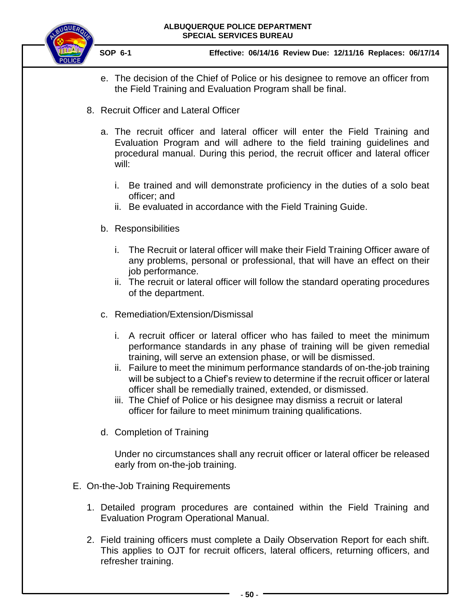**SOP 6-1 Effective: 06/14/16 Review Due: 12/11/16 Replaces: 06/17/14**

- e. The decision of the Chief of Police or his designee to remove an officer from the Field Training and Evaluation Program shall be final.
- 8. Recruit Officer and Lateral Officer
	- a. The recruit officer and lateral officer will enter the Field Training and Evaluation Program and will adhere to the field training guidelines and procedural manual. During this period, the recruit officer and lateral officer will:
		- i. Be trained and will demonstrate proficiency in the duties of a solo beat officer; and
		- ii. Be evaluated in accordance with the Field Training Guide.
	- b. Responsibilities
		- i. The Recruit or lateral officer will make their Field Training Officer aware of any problems, personal or professional, that will have an effect on their job performance.
		- ii. The recruit or lateral officer will follow the standard operating procedures of the department.
	- c. Remediation/Extension/Dismissal
		- i. A recruit officer or lateral officer who has failed to meet the minimum performance standards in any phase of training will be given remedial training, will serve an extension phase, or will be dismissed.
		- ii. Failure to meet the minimum performance standards of on-the-job training will be subject to a Chief's review to determine if the recruit officer or lateral officer shall be remedially trained, extended, or dismissed.
		- iii. The Chief of Police or his designee may dismiss a recruit or lateral officer for failure to meet minimum training qualifications.
	- d. Completion of Training

Under no circumstances shall any recruit officer or lateral officer be released early from on-the-job training.

- <span id="page-49-0"></span>E. On-the-Job Training Requirements
	- 1. Detailed program procedures are contained within the Field Training and Evaluation Program Operational Manual.
	- 2. Field training officers must complete a Daily Observation Report for each shift. This applies to OJT for recruit officers, lateral officers, returning officers, and refresher training.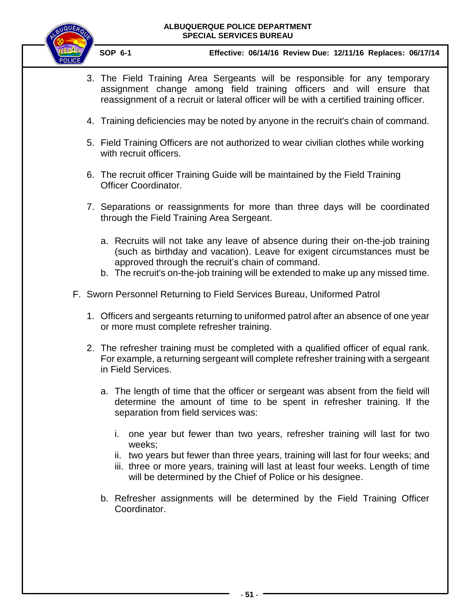

- 3. The Field Training Area Sergeants will be responsible for any temporary assignment change among field training officers and will ensure that reassignment of a recruit or lateral officer will be with a certified training officer.
- 4. Training deficiencies may be noted by anyone in the recruit's chain of command.
- 5. Field Training Officers are not authorized to wear civilian clothes while working with recruit officers.
- 6. The recruit officer Training Guide will be maintained by the Field Training Officer Coordinator.
- 7. Separations or reassignments for more than three days will be coordinated through the Field Training Area Sergeant.
	- a. Recruits will not take any leave of absence during their on-the-job training (such as birthday and vacation). Leave for exigent circumstances must be approved through the recruit's chain of command.
	- b. The recruit's on-the-job training will be extended to make up any missed time.
- <span id="page-50-0"></span>F. Sworn Personnel Returning to Field Services Bureau, Uniformed Patrol
	- 1. Officers and sergeants returning to uniformed patrol after an absence of one year or more must complete refresher training.
	- 2. The refresher training must be completed with a qualified officer of equal rank. For example, a returning sergeant will complete refresher training with a sergeant in Field Services.
		- a. The length of time that the officer or sergeant was absent from the field will determine the amount of time to be spent in refresher training. If the separation from field services was:
			- i. one year but fewer than two years, refresher training will last for two weeks;
			- ii. two years but fewer than three years, training will last for four weeks; and
			- iii. three or more years, training will last at least four weeks. Length of time will be determined by the Chief of Police or his designee.
		- b. Refresher assignments will be determined by the Field Training Officer Coordinator.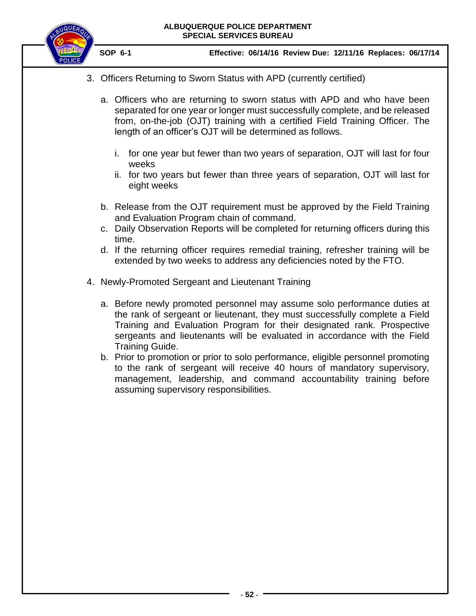

 **SOP 6-1 Effective: 06/14/16 Review Due: 12/11/16 Replaces: 06/17/14**

3. Officers Returning to Sworn Status with APD (currently certified)

a. Officers who are returning to sworn status with APD and who have been separated for one year or longer must successfully complete, and be released from, on-the-job (OJT) training with a certified Field Training Officer. The length of an officer's OJT will be determined as follows.

- i. for one year but fewer than two years of separation, OJT will last for four weeks
- ii. for two years but fewer than three years of separation, OJT will last for eight weeks
- b. Release from the OJT requirement must be approved by the Field Training and Evaluation Program chain of command.
- c. Daily Observation Reports will be completed for returning officers during this time.
- d. If the returning officer requires remedial training, refresher training will be extended by two weeks to address any deficiencies noted by the FTO.
- 4. Newly-Promoted Sergeant and Lieutenant Training
	- a. Before newly promoted personnel may assume solo performance duties at the rank of sergeant or lieutenant, they must successfully complete a Field Training and Evaluation Program for their designated rank. Prospective sergeants and lieutenants will be evaluated in accordance with the Field Training Guide.
	- b. Prior to promotion or prior to solo performance, eligible personnel promoting to the rank of sergeant will receive 40 hours of mandatory supervisory, management, leadership, and command accountability training before assuming supervisory responsibilities.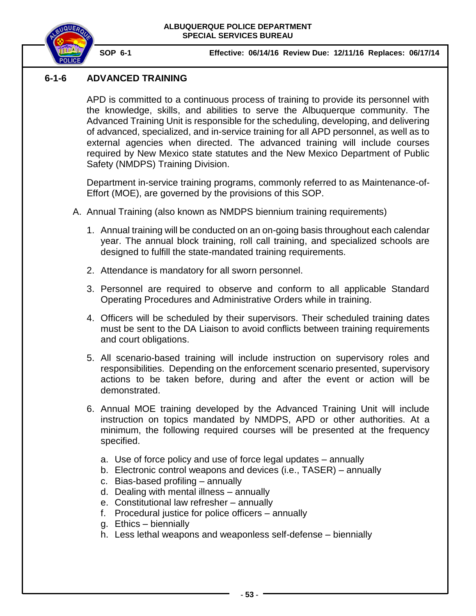

# **6-1-6 ADVANCED TRAINING**

APD is committed to a continuous process of training to provide its personnel with the knowledge, skills, and abilities to serve the Albuquerque community. The Advanced Training Unit is responsible for the scheduling, developing, and delivering of advanced, specialized, and in-service training for all APD personnel, as well as to external agencies when directed. The advanced training will include courses required by New Mexico state statutes and the New Mexico Department of Public Safety (NMDPS) Training Division.

Department in-service training programs, commonly referred to as Maintenance-of-Effort (MOE), are governed by the provisions of this SOP.

- <span id="page-52-0"></span>A. Annual Training (also known as NMDPS biennium training requirements)
	- 1. Annual training will be conducted on an on-going basis throughout each calendar year. The annual block training, roll call training, and specialized schools are designed to fulfill the state-mandated training requirements.
	- 2. Attendance is mandatory for all sworn personnel.
	- 3. Personnel are required to observe and conform to all applicable Standard Operating Procedures and Administrative Orders while in training.
	- 4. Officers will be scheduled by their supervisors. Their scheduled training dates must be sent to the DA Liaison to avoid conflicts between training requirements and court obligations.
	- 5. All scenario-based training will include instruction on supervisory roles and responsibilities. Depending on the enforcement scenario presented, supervisory actions to be taken before, during and after the event or action will be demonstrated.
	- 6. Annual MOE training developed by the Advanced Training Unit will include instruction on topics mandated by NMDPS, APD or other authorities. At a minimum, the following required courses will be presented at the frequency specified.
		- a. Use of force policy and use of force legal updates annually
		- b. Electronic control weapons and devices (i.e., TASER) annually
		- c. Bias-based profiling annually
		- d. Dealing with mental illness annually
		- e. Constitutional law refresher annually
		- f. Procedural justice for police officers annually
		- g. Ethics biennially
		- h. Less lethal weapons and weaponless self-defense biennially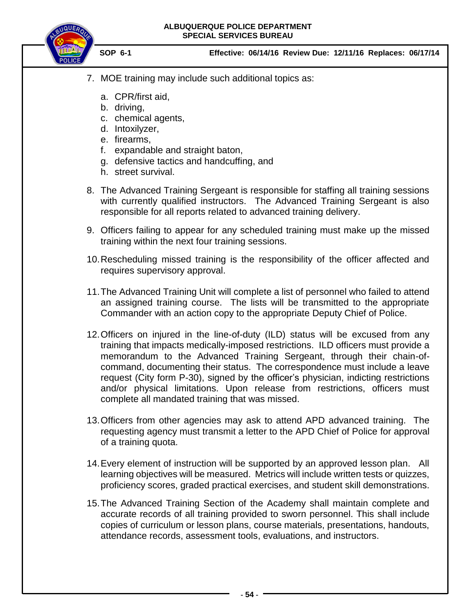

- 7. MOE training may include such additional topics as:
	- a. CPR/first aid,
	- b. driving,
	- c. chemical agents,
	- d. Intoxilyzer,
	- e. firearms,
	- f. expandable and straight baton,
	- g. defensive tactics and handcuffing, and
	- h. street survival.
- 8. The Advanced Training Sergeant is responsible for staffing all training sessions with currently qualified instructors. The Advanced Training Sergeant is also responsible for all reports related to advanced training delivery.
- 9. Officers failing to appear for any scheduled training must make up the missed training within the next four training sessions.
- 10.Rescheduling missed training is the responsibility of the officer affected and requires supervisory approval.
- 11.The Advanced Training Unit will complete a list of personnel who failed to attend an assigned training course. The lists will be transmitted to the appropriate Commander with an action copy to the appropriate Deputy Chief of Police.
- 12.Officers on injured in the line-of-duty (ILD) status will be excused from any training that impacts medically-imposed restrictions. ILD officers must provide a memorandum to the Advanced Training Sergeant, through their chain-ofcommand, documenting their status. The correspondence must include a leave request (City form P-30), signed by the officer's physician, indicting restrictions and/or physical limitations. Upon release from restrictions, officers must complete all mandated training that was missed.
- 13.Officers from other agencies may ask to attend APD advanced training. The requesting agency must transmit a letter to the APD Chief of Police for approval of a training quota.
- 14.Every element of instruction will be supported by an approved lesson plan. All learning objectives will be measured. Metrics will include written tests or quizzes, proficiency scores, graded practical exercises, and student skill demonstrations.
- 15.The Advanced Training Section of the Academy shall maintain complete and accurate records of all training provided to sworn personnel. This shall include copies of curriculum or lesson plans, course materials, presentations, handouts, attendance records, assessment tools, evaluations, and instructors.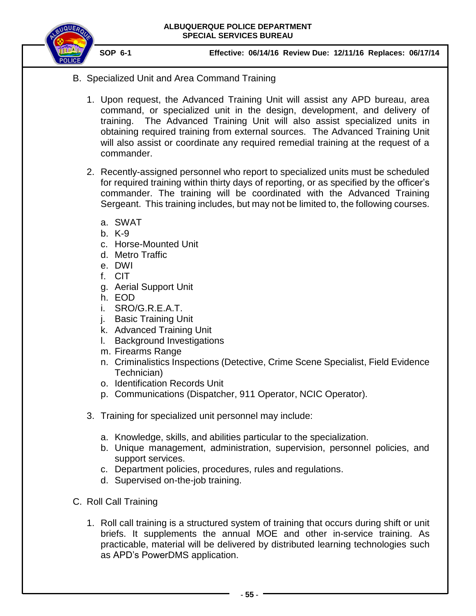

- <span id="page-54-0"></span>B. Specialized Unit and Area Command Training
	- 1. Upon request, the Advanced Training Unit will assist any APD bureau, area command, or specialized unit in the design, development, and delivery of training. The Advanced Training Unit will also assist specialized units in obtaining required training from external sources. The Advanced Training Unit will also assist or coordinate any required remedial training at the request of a commander.
	- 2. Recently-assigned personnel who report to specialized units must be scheduled for required training within thirty days of reporting, or as specified by the officer's commander. The training will be coordinated with the Advanced Training Sergeant. This training includes, but may not be limited to, the following courses.
		- a. SWAT
		- b. K-9
		- c. Horse-Mounted Unit
		- d. Metro Traffic
		- e. DWI
		- f. CIT
		- g. Aerial Support Unit
		- h. EOD
		- i. SRO/G.R.E.A.T.
		- j. Basic Training Unit
		- k. Advanced Training Unit
		- l. Background Investigations
		- m. Firearms Range
		- n. Criminalistics Inspections (Detective, Crime Scene Specialist, Field Evidence Technician)
		- o. Identification Records Unit
		- p. Communications (Dispatcher, 911 Operator, NCIC Operator).
	- 3. Training for specialized unit personnel may include:
		- a. Knowledge, skills, and abilities particular to the specialization.
		- b. Unique management, administration, supervision, personnel policies, and support services.
		- c. Department policies, procedures, rules and regulations.
		- d. Supervised on-the-job training.
- <span id="page-54-1"></span>C. Roll Call Training
	- 1. Roll call training is a structured system of training that occurs during shift or unit briefs. It supplements the annual MOE and other in-service training. As practicable, material will be delivered by distributed learning technologies such as APD's PowerDMS application.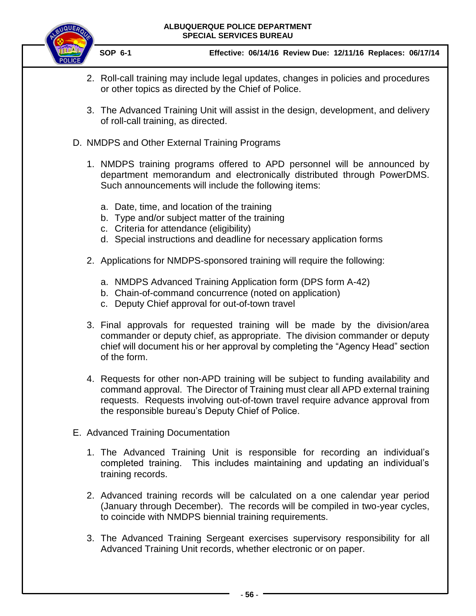

- 2. Roll-call training may include legal updates, changes in policies and procedures or other topics as directed by the Chief of Police.
- 3. The Advanced Training Unit will assist in the design, development, and delivery of roll-call training, as directed.
- <span id="page-55-0"></span>D. NMDPS and Other External Training Programs
	- 1. NMDPS training programs offered to APD personnel will be announced by department memorandum and electronically distributed through PowerDMS. Such announcements will include the following items:
		- a. Date, time, and location of the training
		- b. Type and/or subject matter of the training
		- c. Criteria for attendance (eligibility)
		- d. Special instructions and deadline for necessary application forms
	- 2. Applications for NMDPS-sponsored training will require the following:
		- a. NMDPS Advanced Training Application form (DPS form A-42)
		- b. Chain-of-command concurrence (noted on application)
		- c. Deputy Chief approval for out-of-town travel
	- 3. Final approvals for requested training will be made by the division/area commander or deputy chief, as appropriate. The division commander or deputy chief will document his or her approval by completing the "Agency Head" section of the form.
	- 4. Requests for other non-APD training will be subject to funding availability and command approval. The Director of Training must clear all APD external training requests. Requests involving out-of-town travel require advance approval from the responsible bureau's Deputy Chief of Police.
- <span id="page-55-1"></span>E. Advanced Training Documentation
	- 1. The Advanced Training Unit is responsible for recording an individual's completed training. This includes maintaining and updating an individual's training records.
	- 2. Advanced training records will be calculated on a one calendar year period (January through December). The records will be compiled in two-year cycles, to coincide with NMDPS biennial training requirements.
	- 3. The Advanced Training Sergeant exercises supervisory responsibility for all Advanced Training Unit records, whether electronic or on paper.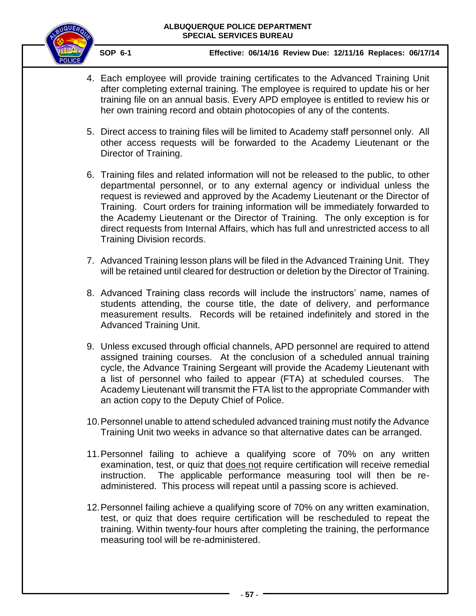

- 4. Each employee will provide training certificates to the Advanced Training Unit after completing external training. The employee is required to update his or her training file on an annual basis. Every APD employee is entitled to review his or her own training record and obtain photocopies of any of the contents.
- 5. Direct access to training files will be limited to Academy staff personnel only. All other access requests will be forwarded to the Academy Lieutenant or the Director of Training.
- 6. Training files and related information will not be released to the public, to other departmental personnel, or to any external agency or individual unless the request is reviewed and approved by the Academy Lieutenant or the Director of Training. Court orders for training information will be immediately forwarded to the Academy Lieutenant or the Director of Training. The only exception is for direct requests from Internal Affairs, which has full and unrestricted access to all Training Division records.
- 7. Advanced Training lesson plans will be filed in the Advanced Training Unit. They will be retained until cleared for destruction or deletion by the Director of Training.
- 8. Advanced Training class records will include the instructors' name, names of students attending, the course title, the date of delivery, and performance measurement results. Records will be retained indefinitely and stored in the Advanced Training Unit.
- 9. Unless excused through official channels, APD personnel are required to attend assigned training courses. At the conclusion of a scheduled annual training cycle, the Advance Training Sergeant will provide the Academy Lieutenant with a list of personnel who failed to appear (FTA) at scheduled courses. The Academy Lieutenant will transmit the FTA list to the appropriate Commander with an action copy to the Deputy Chief of Police.
- 10.Personnel unable to attend scheduled advanced training must notify the Advance Training Unit two weeks in advance so that alternative dates can be arranged.
- 11.Personnel failing to achieve a qualifying score of 70% on any written examination, test, or quiz that does not require certification will receive remedial instruction. The applicable performance measuring tool will then be readministered. This process will repeat until a passing score is achieved.
- 12.Personnel failing achieve a qualifying score of 70% on any written examination, test, or quiz that does require certification will be rescheduled to repeat the training. Within twenty-four hours after completing the training, the performance measuring tool will be re-administered.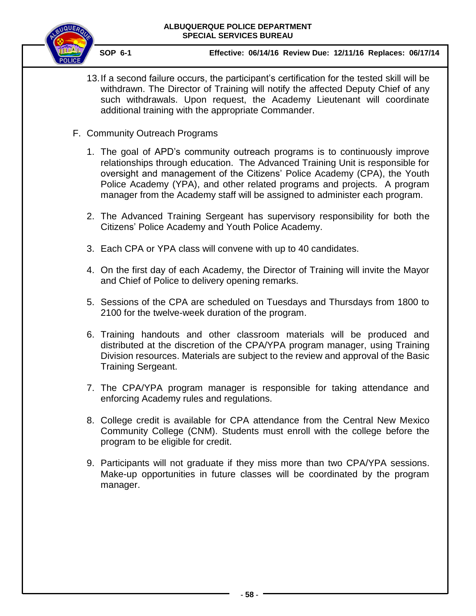

- 13.If a second failure occurs, the participant's certification for the tested skill will be withdrawn. The Director of Training will notify the affected Deputy Chief of any such withdrawals. Upon request, the Academy Lieutenant will coordinate additional training with the appropriate Commander.
- <span id="page-57-0"></span>F. Community Outreach Programs
	- 1. The goal of APD's community outreach programs is to continuously improve relationships through education. The Advanced Training Unit is responsible for oversight and management of the Citizens' Police Academy (CPA), the Youth Police Academy (YPA), and other related programs and projects. A program manager from the Academy staff will be assigned to administer each program.
	- 2. The Advanced Training Sergeant has supervisory responsibility for both the Citizens' Police Academy and Youth Police Academy.
	- 3. Each CPA or YPA class will convene with up to 40 candidates.
	- 4. On the first day of each Academy, the Director of Training will invite the Mayor and Chief of Police to delivery opening remarks.
	- 5. Sessions of the CPA are scheduled on Tuesdays and Thursdays from 1800 to 2100 for the twelve-week duration of the program.
	- 6. Training handouts and other classroom materials will be produced and distributed at the discretion of the CPA/YPA program manager, using Training Division resources. Materials are subject to the review and approval of the Basic Training Sergeant.
	- 7. The CPA/YPA program manager is responsible for taking attendance and enforcing Academy rules and regulations.
	- 8. College credit is available for CPA attendance from the Central New Mexico Community College (CNM). Students must enroll with the college before the program to be eligible for credit.
	- 9. Participants will not graduate if they miss more than two CPA/YPA sessions. Make-up opportunities in future classes will be coordinated by the program manager.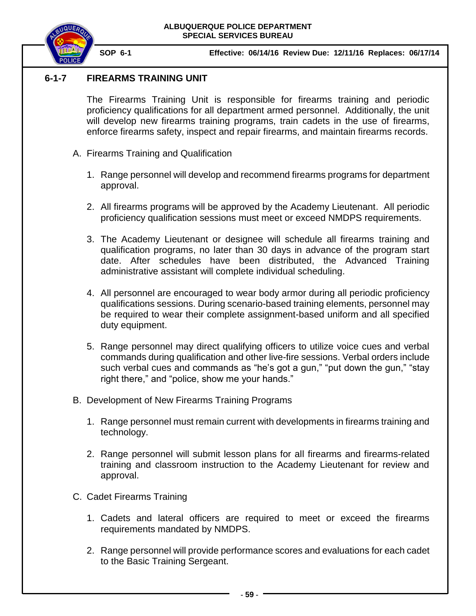

# **6-1-7 FIREARMS TRAINING UNIT**

<span id="page-58-0"></span>The Firearms Training Unit is responsible for firearms training and periodic proficiency qualifications for all department armed personnel. Additionally, the unit will develop new firearms training programs, train cadets in the use of firearms, enforce firearms safety, inspect and repair firearms, and maintain firearms records.

- <span id="page-58-1"></span>A. Firearms Training and Qualification
	- 1. Range personnel will develop and recommend firearms programs for department approval.
	- 2. All firearms programs will be approved by the Academy Lieutenant. All periodic proficiency qualification sessions must meet or exceed NMDPS requirements.
	- 3. The Academy Lieutenant or designee will schedule all firearms training and qualification programs, no later than 30 days in advance of the program start date. After schedules have been distributed, the Advanced Training administrative assistant will complete individual scheduling.
	- 4. All personnel are encouraged to wear body armor during all periodic proficiency qualifications sessions. During scenario-based training elements, personnel may be required to wear their complete assignment-based uniform and all specified duty equipment.
	- 5. Range personnel may direct qualifying officers to utilize voice cues and verbal commands during qualification and other live-fire sessions. Verbal orders include such verbal cues and commands as "he's got a gun," "put down the gun," "stay right there," and "police, show me your hands."
- <span id="page-58-2"></span>B. Development of New Firearms Training Programs
	- 1. Range personnel must remain current with developments in firearms training and technology.
	- 2. Range personnel will submit lesson plans for all firearms and firearms-related training and classroom instruction to the Academy Lieutenant for review and approval.
- <span id="page-58-3"></span>C. Cadet Firearms Training
	- 1. Cadets and lateral officers are required to meet or exceed the firearms requirements mandated by NMDPS.
	- 2. Range personnel will provide performance scores and evaluations for each cadet to the Basic Training Sergeant.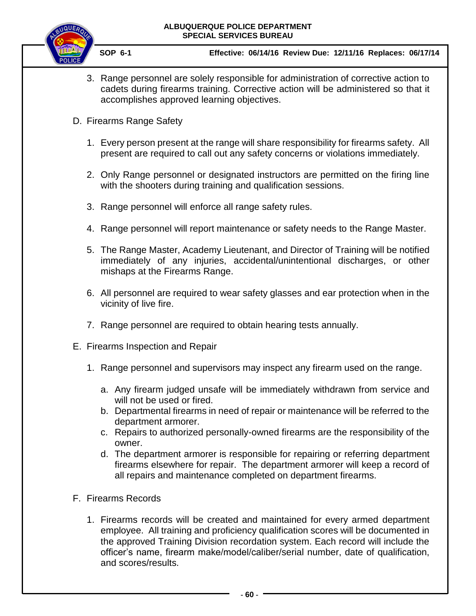

- 3. Range personnel are solely responsible for administration of corrective action to cadets during firearms training. Corrective action will be administered so that it accomplishes approved learning objectives.
- <span id="page-59-0"></span>D. Firearms Range Safety
	- 1. Every person present at the range will share responsibility for firearms safety. All present are required to call out any safety concerns or violations immediately.
	- 2. Only Range personnel or designated instructors are permitted on the firing line with the shooters during training and qualification sessions.
	- 3. Range personnel will enforce all range safety rules.
	- 4. Range personnel will report maintenance or safety needs to the Range Master.
	- 5. The Range Master, Academy Lieutenant, and Director of Training will be notified immediately of any injuries, accidental/unintentional discharges, or other mishaps at the Firearms Range.
	- 6. All personnel are required to wear safety glasses and ear protection when in the vicinity of live fire.
	- 7. Range personnel are required to obtain hearing tests annually.
- <span id="page-59-1"></span>E. Firearms Inspection and Repair
	- 1. Range personnel and supervisors may inspect any firearm used on the range.
		- a. Any firearm judged unsafe will be immediately withdrawn from service and will not be used or fired.
		- b. Departmental firearms in need of repair or maintenance will be referred to the department armorer.
		- c. Repairs to authorized personally-owned firearms are the responsibility of the owner.
		- d. The department armorer is responsible for repairing or referring department firearms elsewhere for repair. The department armorer will keep a record of all repairs and maintenance completed on department firearms.
- <span id="page-59-2"></span>F. Firearms Records
	- 1. Firearms records will be created and maintained for every armed department employee. All training and proficiency qualification scores will be documented in the approved Training Division recordation system. Each record will include the officer's name, firearm make/model/caliber/serial number, date of qualification, and scores/results.